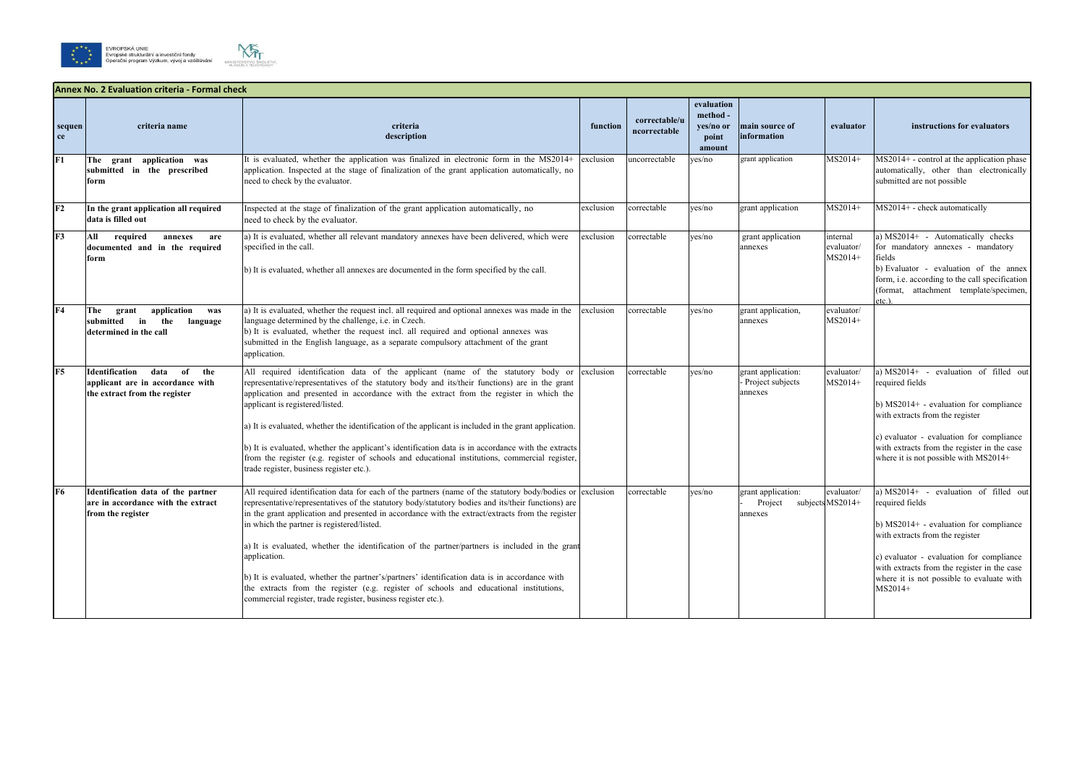



|                     | <b>Annex No. 2 Evaluation criteria - Formal check</b>                                                    |                                                                                                                                                                                                                                                                                                                                                                                                                                                                                                                                                                                                                                                                                                                                                  |           |                               |                                                        |                                                   |                                   |                                                                                                                                                                                                                                                                                                    |
|---------------------|----------------------------------------------------------------------------------------------------------|--------------------------------------------------------------------------------------------------------------------------------------------------------------------------------------------------------------------------------------------------------------------------------------------------------------------------------------------------------------------------------------------------------------------------------------------------------------------------------------------------------------------------------------------------------------------------------------------------------------------------------------------------------------------------------------------------------------------------------------------------|-----------|-------------------------------|--------------------------------------------------------|---------------------------------------------------|-----------------------------------|----------------------------------------------------------------------------------------------------------------------------------------------------------------------------------------------------------------------------------------------------------------------------------------------------|
| sequen<br><b>ce</b> | criteria name                                                                                            | criteria<br>description                                                                                                                                                                                                                                                                                                                                                                                                                                                                                                                                                                                                                                                                                                                          | function  | correctable/u<br>ncorrectable | evaluation<br>method -<br>yes/no or<br>point<br>amount | main source of<br>information                     | evaluator                         | instructions for evaluators                                                                                                                                                                                                                                                                        |
| F <sub>1</sub>      | grant application was<br>The<br>submitted in the prescribed<br>form                                      | It is evaluated, whether the application was finalized in electronic form in the MS2014+<br>application. Inspected at the stage of finalization of the grant application automatically, no<br>need to check by the evaluator.                                                                                                                                                                                                                                                                                                                                                                                                                                                                                                                    | exclusion | uncorrectable                 | yes/no                                                 | grant application                                 | MS2014+                           | $MS2014+$ - control at the application phase<br>automatically, other than electronically<br>submitted are not possible                                                                                                                                                                             |
| F <sub>2</sub>      | In the grant application all required<br>data is filled out                                              | Inspected at the stage of finalization of the grant application automatically, no<br>need to check by the evaluator.                                                                                                                                                                                                                                                                                                                                                                                                                                                                                                                                                                                                                             | exclusion | correctable                   | yes/no                                                 | grant application                                 | MS2014+                           | $MS2014+$ - check automatically                                                                                                                                                                                                                                                                    |
| F3                  | required<br>All<br>annexes<br>are<br>documented and in the required<br>form                              | a) It is evaluated, whether all relevant mandatory annexes have been delivered, which were<br>specified in the call.<br>b) It is evaluated, whether all annexes are documented in the form specified by the call.                                                                                                                                                                                                                                                                                                                                                                                                                                                                                                                                | exclusion | correctable                   | yes/no                                                 | grant application<br>annexes                      | internal<br>evaluator/<br>MS2014+ | a) $MS2014+$ - Automatically checks<br>for mandatory annexes - mandatory<br>fields<br>b) Evaluator - evaluation of the annex<br>form, i.e. according to the call specification<br>(format, attachment template/specimen,<br>$etc.$ ).                                                              |
| F4                  | application<br>The<br>grant<br>was<br>submitted<br>in<br>the<br>language<br>determined in the call       | a) It is evaluated, whether the request incl. all required and optional annexes was made in the<br>language determined by the challenge, i.e. in Czech.<br>b) It is evaluated, whether the request incl. all required and optional annexes was<br>submitted in the English language, as a separate compulsory attachment of the grant<br>application.                                                                                                                                                                                                                                                                                                                                                                                            | exclusion | correctable                   | ves/no                                                 | grant application,<br>annexes                     | evaluator/<br>MS2014+             |                                                                                                                                                                                                                                                                                                    |
| F5                  | Identification<br>data<br>of<br>the<br>applicant are in accordance with<br>the extract from the register | All required identification data of the applicant (name of the statutory body or<br>representative/representatives of the statutory body and its/their functions) are in the grant<br>application and presented in accordance with the extract from the register in which the<br>applicant is registered/listed.<br>a) It is evaluated, whether the identification of the applicant is included in the grant application.<br>b) It is evaluated, whether the applicant's identification data is in accordance with the extracts<br>from the register (e.g. register of schools and educational institutions, commercial register,<br>trade register, business register etc.).                                                                    | exclusion | correctable                   | yes/no                                                 | grant application:<br>Project subjects<br>annexes | evaluator/<br>MS2014+             | a) $MS2014+$ - evaluation of filled out<br>required fields<br>b) MS2014+ - evaluation for compliance<br>with extracts from the register<br>c) evaluator - evaluation for compliance<br>with extracts from the register in the case<br>where it is not possible with MS2014+                        |
| <b>F6</b>           | Identification data of the partner<br>are in accordance with the extract<br>from the register            | All required identification data for each of the partners (name of the statutory body/bodies or exclusion<br>representative/representatives of the statutory body/statutory bodies and its/their functions) are<br>in the grant application and presented in accordance with the extract/extracts from the register<br>in which the partner is registered/listed.<br>a) It is evaluated, whether the identification of the partner/partners is included in the grant<br>application.<br>b) It is evaluated, whether the partner's/partners' identification data is in accordance with<br>the extracts from the register (e.g. register of schools and educational institutions,<br>commercial register, trade register, business register etc.). |           | correctable                   | ves/no                                                 | grant application:<br>Project<br>annexes          | evaluator/<br>subjects MS2014+    | a) $MS2014+$ - evaluation of filled out<br>required fields<br>$\vert$ b) MS2014+ - evaluation for compliance<br>with extracts from the register<br>c) evaluator - evaluation for compliance<br>with extracts from the register in the case<br>where it is not possible to evaluate with<br>MS2014+ |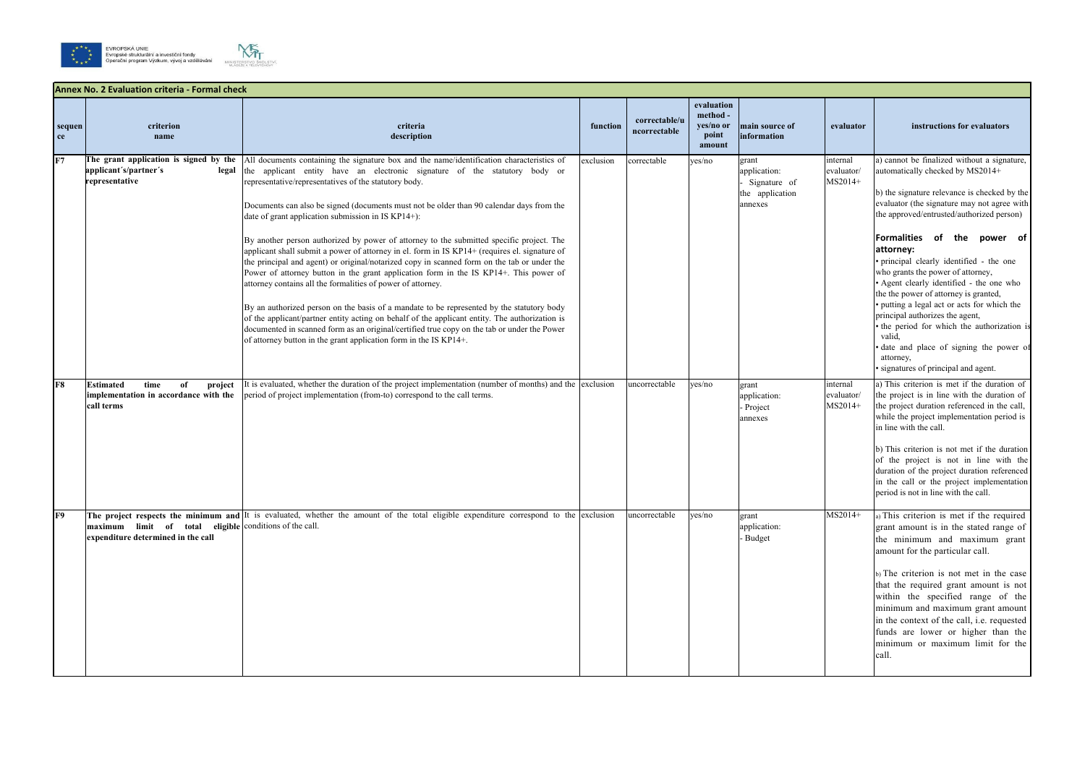



|                | <b>Annex No. 2 Evaluation criteria - Formal check</b>                                            |                                                                                                                                                                                                                                                                                                                                                                                                                                                                                                                                                                                                                                                                                                                                                                                                                                                                                                                                                                                                                                                                                                                                                                                                              |           |                               |                                                        |                                                                     |                                   |                                                                                                                                                                                                                                                                                                                                                                                                                                                                                                                                                                                                                                                                                       |  |  |
|----------------|--------------------------------------------------------------------------------------------------|--------------------------------------------------------------------------------------------------------------------------------------------------------------------------------------------------------------------------------------------------------------------------------------------------------------------------------------------------------------------------------------------------------------------------------------------------------------------------------------------------------------------------------------------------------------------------------------------------------------------------------------------------------------------------------------------------------------------------------------------------------------------------------------------------------------------------------------------------------------------------------------------------------------------------------------------------------------------------------------------------------------------------------------------------------------------------------------------------------------------------------------------------------------------------------------------------------------|-----------|-------------------------------|--------------------------------------------------------|---------------------------------------------------------------------|-----------------------------------|---------------------------------------------------------------------------------------------------------------------------------------------------------------------------------------------------------------------------------------------------------------------------------------------------------------------------------------------------------------------------------------------------------------------------------------------------------------------------------------------------------------------------------------------------------------------------------------------------------------------------------------------------------------------------------------|--|--|
| sequen<br>ce   | criterion<br>name                                                                                | criteria<br>description                                                                                                                                                                                                                                                                                                                                                                                                                                                                                                                                                                                                                                                                                                                                                                                                                                                                                                                                                                                                                                                                                                                                                                                      | function  | correctable/u<br>ncorrectable | evaluation<br>method -<br>yes/no or<br>point<br>amount | main source of<br><i>information</i>                                | evaluator                         | instructions for evaluators                                                                                                                                                                                                                                                                                                                                                                                                                                                                                                                                                                                                                                                           |  |  |
| F <sub>7</sub> | The grant application is signed by the<br>applicant's/partner's<br>legal<br>representative       | All documents containing the signature box and the name/identification characteristics of<br>the applicant entity have an electronic signature of the statutory body or<br>representative/representatives of the statutory body.<br>Documents can also be signed (documents must not be older than 90 calendar days from the<br>date of grant application submission in IS KP14+):<br>By another person authorized by power of attorney to the submitted specific project. The<br>applicant shall submit a power of attorney in el. form in IS KP14+ (requires el. signature of<br>the principal and agent) or original/notarized copy in scanned form on the tab or under the<br>Power of attorney button in the grant application form in the IS KP14+. This power of<br>attorney contains all the formalities of power of attorney.<br>By an authorized person on the basis of a mandate to be represented by the statutory body<br>of the applicant/partner entity acting on behalf of the applicant entity. The authorization is<br>documented in scanned form as an original/certified true copy on the tab or under the Power<br>of attorney button in the grant application form in the IS $KP14+$ . | exclusion | correctable                   | yes/no                                                 | grant<br>application:<br>Signature of<br>the application<br>annexes | internal<br>evaluator/<br>MS2014+ | a) cannot be finalized without a signature,<br>automatically checked by MS2014+<br>b) the signature relevance is checked by the<br>evaluator (the signature may not agree with<br>the approved/entrusted/authorized person)<br>Formalities of the power of<br>attorney:<br>· principal clearly identified - the one<br>who grants the power of attorney,<br>• Agent clearly identified - the one who<br>the the power of attorney is granted,<br>• putting a legal act or acts for which the<br>principal authorizes the agent,<br>the period for which the authorization is<br>valid,<br>date and place of signing the power of<br>attorney,<br>· signatures of principal and agent. |  |  |
| F8             | time<br><b>Estimated</b><br>of<br>project<br>implementation in accordance with the<br>call terms | It is evaluated, whether the duration of the project implementation (number of months) and the exclusion<br>period of project implementation (from-to) correspond to the call terms.                                                                                                                                                                                                                                                                                                                                                                                                                                                                                                                                                                                                                                                                                                                                                                                                                                                                                                                                                                                                                         |           | uncorrectable                 | yes/no                                                 | grant<br>application:<br>Project<br>annexes                         | internal<br>evaluator/<br>MS2014+ | a) This criterion is met if the duration of<br>the project is in line with the duration of<br>the project duration referenced in the call,<br>while the project implementation period is<br>in line with the call.<br>b) This criterion is not met if the duration<br>of the project is not in line with the<br>duration of the project duration referenced<br>in the call or the project implementation<br>period is not in line with the call.                                                                                                                                                                                                                                      |  |  |
| F9             | maximum limit of total eligible conditions of the call.<br>expenditure determined in the call    | The project respects the minimum and It is evaluated, whether the amount of the total eligible expenditure correspond to the exclusion                                                                                                                                                                                                                                                                                                                                                                                                                                                                                                                                                                                                                                                                                                                                                                                                                                                                                                                                                                                                                                                                       |           | uncorrectable                 | yes/no                                                 | grant<br>application:<br>- Budget                                   | MS2014+                           | a) This criterion is met if the required<br>grant amount is in the stated range of<br>the minimum and maximum grant<br>amount for the particular call.<br>b) The criterion is not met in the case<br>that the required grant amount is not<br>within the specified range of the<br>minimum and maximum grant amount<br>in the context of the call, i.e. requested<br>funds are lower or higher than the<br>minimum or maximum limit for the<br>call.                                                                                                                                                                                                                                  |  |  |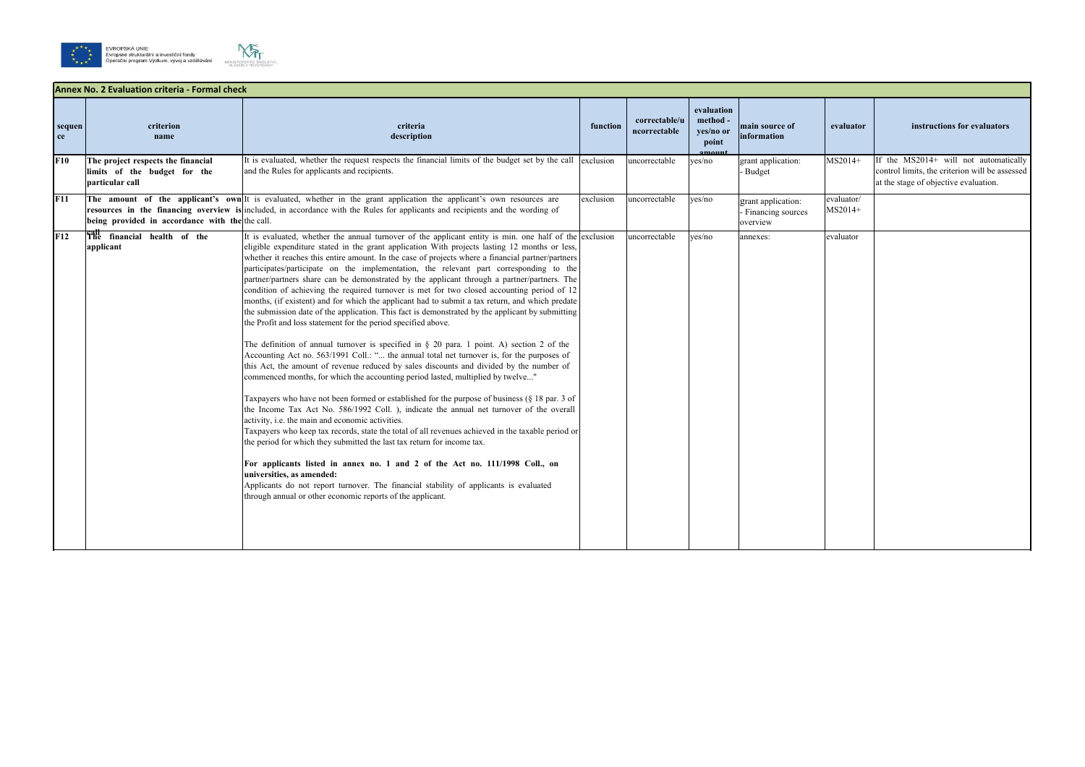



|              | Annex No. 2 Evaluation criteria - Formal check                                        |                                                                                                                                                                                                                                                                                                                                                                                                                                                                                                                                                                                                                                                                                                                                                                                                                                                                                                                                                                                                                                                                                                                                                                                                                                                                                                                                                                                                                                                                                                                                                                                                                                                                                                                                                                                                                                                                                                                                                              |           |                               |                                              |                                                     |                       |                                                                                                                                  |
|--------------|---------------------------------------------------------------------------------------|--------------------------------------------------------------------------------------------------------------------------------------------------------------------------------------------------------------------------------------------------------------------------------------------------------------------------------------------------------------------------------------------------------------------------------------------------------------------------------------------------------------------------------------------------------------------------------------------------------------------------------------------------------------------------------------------------------------------------------------------------------------------------------------------------------------------------------------------------------------------------------------------------------------------------------------------------------------------------------------------------------------------------------------------------------------------------------------------------------------------------------------------------------------------------------------------------------------------------------------------------------------------------------------------------------------------------------------------------------------------------------------------------------------------------------------------------------------------------------------------------------------------------------------------------------------------------------------------------------------------------------------------------------------------------------------------------------------------------------------------------------------------------------------------------------------------------------------------------------------------------------------------------------------------------------------------------------------|-----------|-------------------------------|----------------------------------------------|-----------------------------------------------------|-----------------------|----------------------------------------------------------------------------------------------------------------------------------|
| sequen<br>ce | criterion<br>name                                                                     | criteria<br>description                                                                                                                                                                                                                                                                                                                                                                                                                                                                                                                                                                                                                                                                                                                                                                                                                                                                                                                                                                                                                                                                                                                                                                                                                                                                                                                                                                                                                                                                                                                                                                                                                                                                                                                                                                                                                                                                                                                                      | function  | correctable/u<br>ncorrectable | evaluation<br>method -<br>yes/no or<br>point | main source of<br>information                       | evaluator             | instructions for evaluators                                                                                                      |
| F10          | The project respects the financial<br>limits of the budget for the<br>particular call | It is evaluated, whether the request respects the financial limits of the budget set by the call exclusion<br>and the Rules for applicants and recipients.                                                                                                                                                                                                                                                                                                                                                                                                                                                                                                                                                                                                                                                                                                                                                                                                                                                                                                                                                                                                                                                                                                                                                                                                                                                                                                                                                                                                                                                                                                                                                                                                                                                                                                                                                                                                   |           | uncorrectable                 | yes/no                                       | grant application:<br>Budget                        | MS2014+               | If the MS2014+ will not automatically<br>control limits, the criterion will be assessed<br>at the stage of objective evaluation. |
| F11          | being provided in accordance with the the call.                                       | The amount of the applicant's own It is evaluated, whether in the grant application the applicant's own resources are<br>resources in the financing overview is included, in accordance with the Rules for applicants and recipients and the wording of                                                                                                                                                                                                                                                                                                                                                                                                                                                                                                                                                                                                                                                                                                                                                                                                                                                                                                                                                                                                                                                                                                                                                                                                                                                                                                                                                                                                                                                                                                                                                                                                                                                                                                      | exclusion | uncorrectable                 | yes/no                                       | grant application:<br>Financing sources<br>overview | evaluator/<br>MS2014+ |                                                                                                                                  |
| F12          | The financial health of the<br>applicant                                              | It is evaluated, whether the annual turnover of the applicant entity is min. one half of the exclusion<br>eligible expenditure stated in the grant application With projects lasting 12 months or less,<br>whether it reaches this entire amount. In the case of projects where a financial partner/partners<br>participates/participate on the implementation, the relevant part corresponding to the<br>partner/partners share can be demonstrated by the applicant through a partner/partners. The<br>condition of achieving the required turnover is met for two closed accounting period of 12<br>months, (if existent) and for which the applicant had to submit a tax return, and which predate<br>the submission date of the application. This fact is demonstrated by the applicant by submitting<br>the Profit and loss statement for the period specified above.<br>The definition of annual turnover is specified in $\S$ 20 para. 1 point. A) section 2 of the<br>Accounting Act no. 563/1991 Coll.: " the annual total net turnover is, for the purposes of<br>this Act, the amount of revenue reduced by sales discounts and divided by the number of<br>commenced months, for which the accounting period lasted, multiplied by twelve"<br>Taxpayers who have not been formed or established for the purpose of business (§ 18 par. 3 of<br>the Income Tax Act No. 586/1992 Coll. ), indicate the annual net turnover of the overall<br>activity, i.e. the main and economic activities.<br>Taxpayers who keep tax records, state the total of all revenues achieved in the taxable period or<br>the period for which they submitted the last tax return for income tax.<br>For applicants listed in annex no. 1 and 2 of the Act no. 111/1998 Coll., on<br>universities, as amended:<br>Applicants do not report turnover. The financial stability of applicants is evaluated<br>through annual or other economic reports of the applicant. |           | uncorrectable                 | ves/no                                       | annexes:                                            | evaluator             |                                                                                                                                  |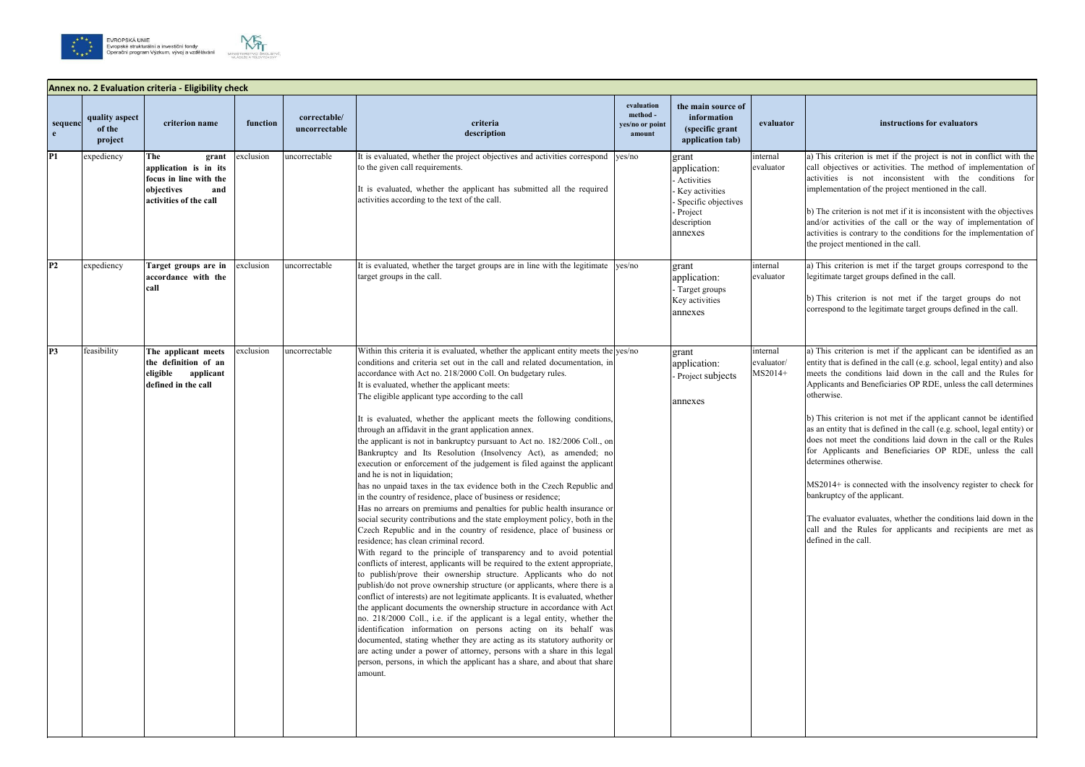## **evaluator instructions for evaluators**

is criterion is met if the project is not in conflict with the objectives or activities. The method of implementation of ities is not inconsistent with the conditions for ementation of the project mentioned in the call.

he criterion is not met if it is inconsistent with the objectives or activities of the call or the way of implementation of ities is contrary to the conditions for the implementation of roject mentioned in the call.

is criterion is met if the target groups correspond to the legitimate target groups defined in the call.

h) is criterion is not met if the target groups do not spond to the legitimate target groups defined in the call.

a) this criterion is met if the applicant can be identified as an that is defined in the call (e.g. school, legal entity) and also the conditions laid down in the call and the Rules for licants and Beneficiaries OP RDE, unless the call determines wise.

his criterion is not met if the applicant cannot be identified entity that is defined in the call (e.g. school, legal entity) or not meet the conditions laid down in the call or the Rules Applicants and Beneficiaries OP RDE, unless the call mines otherwise.

 $014+$  is connected with the insolvency register to check for ruptcy of the applicant.

evaluator evaluates, whether the conditions laid down in the and the Rules for applicants and recipients are met as ed in the call.







|                         | Annex no. 2 Evaluation criteria - Eligibility check |                                                                                                                |           |                               |                                                                                                                                                                                                                                                                                                                                                                                                                                                                                                                                                                                                                                                                                                                                                                                                                                                                                                                                                                                                                                                                                                                                                                                                                                                                                                                                                                                                                                                                                                                                                                                                                                                                                                                                                                                                                                                                                                                                                                                                                             |                                                     |                                                                                                                       |                                   |                                                                                                                                                         |  |
|-------------------------|-----------------------------------------------------|----------------------------------------------------------------------------------------------------------------|-----------|-------------------------------|-----------------------------------------------------------------------------------------------------------------------------------------------------------------------------------------------------------------------------------------------------------------------------------------------------------------------------------------------------------------------------------------------------------------------------------------------------------------------------------------------------------------------------------------------------------------------------------------------------------------------------------------------------------------------------------------------------------------------------------------------------------------------------------------------------------------------------------------------------------------------------------------------------------------------------------------------------------------------------------------------------------------------------------------------------------------------------------------------------------------------------------------------------------------------------------------------------------------------------------------------------------------------------------------------------------------------------------------------------------------------------------------------------------------------------------------------------------------------------------------------------------------------------------------------------------------------------------------------------------------------------------------------------------------------------------------------------------------------------------------------------------------------------------------------------------------------------------------------------------------------------------------------------------------------------------------------------------------------------------------------------------------------------|-----------------------------------------------------|-----------------------------------------------------------------------------------------------------------------------|-----------------------------------|---------------------------------------------------------------------------------------------------------------------------------------------------------|--|
| sequenc<br>$\mathbf{e}$ | quality aspect<br>of the<br>project                 | criterion name                                                                                                 | function  | correctable/<br>uncorrectable | criteria<br>description                                                                                                                                                                                                                                                                                                                                                                                                                                                                                                                                                                                                                                                                                                                                                                                                                                                                                                                                                                                                                                                                                                                                                                                                                                                                                                                                                                                                                                                                                                                                                                                                                                                                                                                                                                                                                                                                                                                                                                                                     | evaluation<br>method -<br>yes/no or point<br>amount | the main source of<br>information<br>(specific grant<br>application tab)                                              | evaluator                         |                                                                                                                                                         |  |
| P1                      | expediency                                          | The<br>grant<br>application is in its<br>focus in line with the<br>objectives<br>and<br>activities of the call | exclusion | uncorrectable                 | It is evaluated, whether the project objectives and activities correspond<br>to the given call requirements.<br>It is evaluated, whether the applicant has submitted all the required<br>activities according to the text of the call.                                                                                                                                                                                                                                                                                                                                                                                                                                                                                                                                                                                                                                                                                                                                                                                                                                                                                                                                                                                                                                                                                                                                                                                                                                                                                                                                                                                                                                                                                                                                                                                                                                                                                                                                                                                      | yes/no                                              | grant<br>application:<br>- Activities<br>Key activities<br>Specific objectives<br>- Project<br>description<br>annexes | internal<br>evaluator             | a) Thi<br>call o<br>activi<br>imple<br>b) Th<br>and/o<br>activi<br>the pr                                                                               |  |
| P <sub>2</sub>          | expediency                                          | Target groups are in<br>accordance with the<br>call                                                            | exclusion | uncorrectable                 | It is evaluated, whether the target groups are in line with the legitimate<br>target groups in the call.                                                                                                                                                                                                                                                                                                                                                                                                                                                                                                                                                                                                                                                                                                                                                                                                                                                                                                                                                                                                                                                                                                                                                                                                                                                                                                                                                                                                                                                                                                                                                                                                                                                                                                                                                                                                                                                                                                                    | yes/no                                              | grant<br>application:<br>- Target groups<br>Key activities<br>annexes                                                 | internal<br>evaluator             | a) Thi<br>legitin<br>b) Th<br>corres                                                                                                                    |  |
| P3                      | feasibility                                         | The applicant meets<br>the definition of an<br>applicant<br>eligible<br>defined in the call                    | exclusion | uncorrectable                 | Within this criteria it is evaluated, whether the applicant entity meets the yes/no<br>conditions and criteria set out in the call and related documentation, in<br>accordance with Act no. 218/2000 Coll. On budgetary rules.<br>It is evaluated, whether the applicant meets:<br>The eligible applicant type according to the call<br>It is evaluated, whether the applicant meets the following conditions,<br>through an affidavit in the grant application annex.<br>the applicant is not in bankruptcy pursuant to Act no. 182/2006 Coll., on<br>Bankruptcy and Its Resolution (Insolvency Act), as amended; no<br>execution or enforcement of the judgement is filed against the applicant<br>and he is not in liquidation;<br>has no unpaid taxes in the tax evidence both in the Czech Republic and<br>in the country of residence, place of business or residence;<br>Has no arrears on premiums and penalties for public health insurance or<br>social security contributions and the state employment policy, both in the<br>Czech Republic and in the country of residence, place of business or<br>residence; has clean criminal record.<br>With regard to the principle of transparency and to avoid potential<br>conflicts of interest, applicants will be required to the extent appropriate,<br>to publish/prove their ownership structure. Applicants who do not<br>publish/do not prove ownership structure (or applicants, where there is a<br>conflict of interests) are not legitimate applicants. It is evaluated, whether<br>the applicant documents the ownership structure in accordance with Act<br>no. 218/2000 Coll., i.e. if the applicant is a legal entity, whether the<br>identification information on persons acting on its behalf was<br>documented, stating whether they are acting as its statutory authority or<br>are acting under a power of attorney, persons with a share in this legal<br>person, persons, in which the applicant has a share, and about that share<br>amount. |                                                     | grant<br>application:<br>Project subjects<br>annexes                                                                  | internal<br>evaluator/<br>MS2014+ | a) Thi<br>entity<br>meets<br>Appli<br>othery<br>b) Th<br>as an<br>does :<br>for $A$<br>detern<br>MS <sub>20</sub><br>bankr<br>The e<br>call a<br>define |  |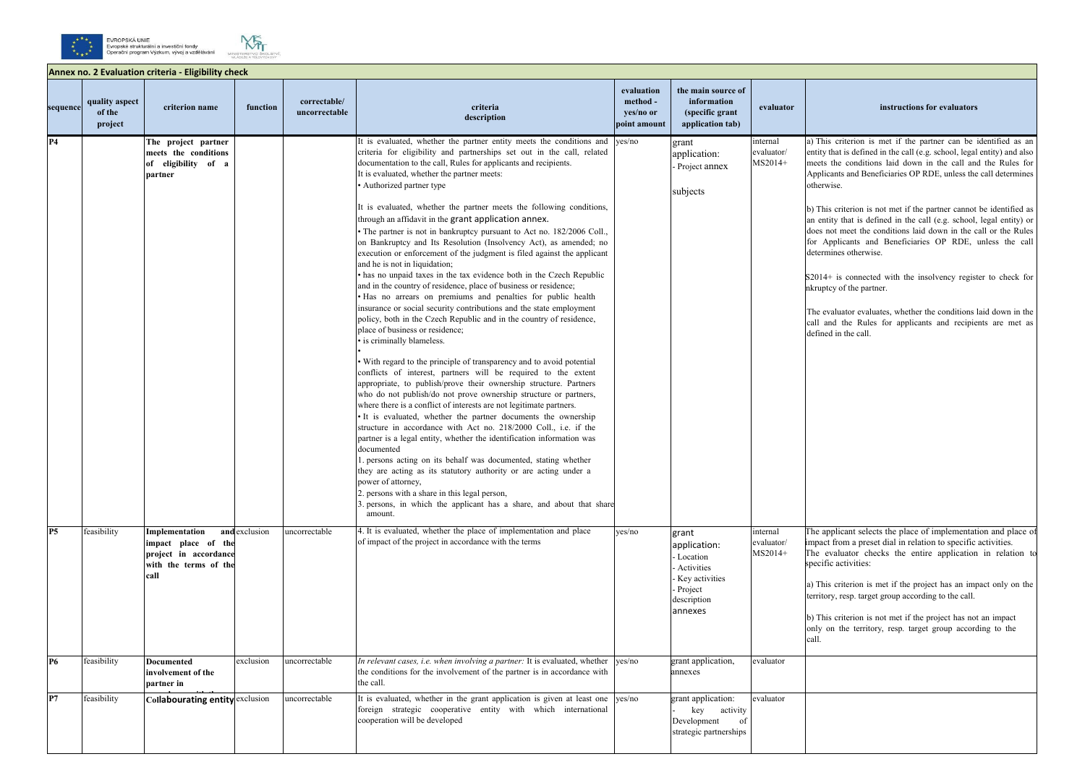## **evaluator instructions for evaluators**

This criterion is met if the partner can be identified as an tity that is defined in the call (e.g. school, legal entity) and also meets the conditions laid down in the call and the Rules for Applicants and Beneficiaries OP RDE, unless the call determines nerwise.

This criterion is not met if the partner cannot be identified as entity that is defined in the call (e.g. school, legal entity) or es not meet the conditions laid down in the call or the Rules Applicants and Beneficiaries OP RDE, unless the call termines otherwise.

014+ is connected with the insolvency register to check for ruptcy of the partner.

evaluator evaluates, whether the conditions laid down in the and the Rules for applicants and recipients are met as fined in the call.

applicant selects the place of implementation and place of pact from a preset dial in relation to specific activities. evaluator checks the entire application in relation to ecific activities:

This criterion is met if the project has an impact only on the ritory, resp. target group according to the call.

This criterion is not met if the project has not an impact ly on the territory, resp. target group according to the





|          | Annex no. 2 Evaluation criteria - Eligibility check |                                                                                                 |               |                               |                                                                                                                                                                                                                                                                                                                                                                                                                                                                                                                                                                                                                                                                                                                                                                                                                                                                                                                                                                                                                                                                                                                                                                                                                                                                                                                                                                                                                                                                                                                                                                                                                                                                                                                                                                                                                                                                                                                                                                                                              |                                                     |                                                                                                              |                                   |                                                                                                                     |  |
|----------|-----------------------------------------------------|-------------------------------------------------------------------------------------------------|---------------|-------------------------------|--------------------------------------------------------------------------------------------------------------------------------------------------------------------------------------------------------------------------------------------------------------------------------------------------------------------------------------------------------------------------------------------------------------------------------------------------------------------------------------------------------------------------------------------------------------------------------------------------------------------------------------------------------------------------------------------------------------------------------------------------------------------------------------------------------------------------------------------------------------------------------------------------------------------------------------------------------------------------------------------------------------------------------------------------------------------------------------------------------------------------------------------------------------------------------------------------------------------------------------------------------------------------------------------------------------------------------------------------------------------------------------------------------------------------------------------------------------------------------------------------------------------------------------------------------------------------------------------------------------------------------------------------------------------------------------------------------------------------------------------------------------------------------------------------------------------------------------------------------------------------------------------------------------------------------------------------------------------------------------------------------------|-----------------------------------------------------|--------------------------------------------------------------------------------------------------------------|-----------------------------------|---------------------------------------------------------------------------------------------------------------------|--|
| sequence | quality aspect<br>of the<br>project                 | criterion name                                                                                  | function      | correctable/<br>uncorrectable | criteria<br>description                                                                                                                                                                                                                                                                                                                                                                                                                                                                                                                                                                                                                                                                                                                                                                                                                                                                                                                                                                                                                                                                                                                                                                                                                                                                                                                                                                                                                                                                                                                                                                                                                                                                                                                                                                                                                                                                                                                                                                                      | evaluation<br>method -<br>yes/no or<br>point amount | the main source of<br>information<br>(specific grant<br>application tab)                                     | evaluator                         |                                                                                                                     |  |
| P4       |                                                     | The project partner<br>meets the conditions<br>of eligibility of a<br>partner                   |               |                               | It is evaluated, whether the partner entity meets the conditions and<br>criteria for eligibility and partnerships set out in the call, related<br>documentation to the call, Rules for applicants and recipients.<br>It is evaluated, whether the partner meets:<br>• Authorized partner type<br>It is evaluated, whether the partner meets the following conditions,<br>through an affidavit in the grant application annex.<br>• The partner is not in bankruptcy pursuant to Act no. 182/2006 Coll.,<br>on Bankruptcy and Its Resolution (Insolvency Act), as amended; no<br>execution or enforcement of the judgment is filed against the applicant<br>and he is not in liquidation;<br>• has no unpaid taxes in the tax evidence both in the Czech Republic<br>and in the country of residence, place of business or residence;<br>· Has no arrears on premiums and penalties for public health<br>insurance or social security contributions and the state employment<br>policy, both in the Czech Republic and in the country of residence,<br>place of business or residence;<br>· is criminally blameless.<br>• With regard to the principle of transparency and to avoid potential<br>conflicts of interest, partners will be required to the extent<br>appropriate, to publish/prove their ownership structure. Partners<br>who do not publish/do not prove ownership structure or partners,<br>where there is a conflict of interests are not legitimate partners.<br>• It is evaluated, whether the partner documents the ownership<br>structure in accordance with Act no. 218/2000 Coll., i.e. if the<br>partner is a legal entity, whether the identification information was<br>documented<br>1. persons acting on its behalf was documented, stating whether<br>they are acting as its statutory authority or are acting under a<br>power of attorney,<br>2. persons with a share in this legal person,<br>3. persons, in which the applicant has a share, and about that share<br>amount. | ves/no                                              | grant<br>application:<br>Project annex<br>subjects                                                           | internal<br>evaluator/<br>MS2014+ | $a)$ T<br>enti<br>mee<br>App<br>othe<br>$b)$ T<br>an e<br>does<br>for<br>dete<br>S20<br>nkru<br>The<br>call<br>defi |  |
| P5       | feasibility                                         | Implementation<br>impact place of the<br>project in accordance<br>with the terms of the<br>call | and exclusion | uncorrectable                 | 4. It is evaluated, whether the place of implementation and place<br>of impact of the project in accordance with the terms                                                                                                                                                                                                                                                                                                                                                                                                                                                                                                                                                                                                                                                                                                                                                                                                                                                                                                                                                                                                                                                                                                                                                                                                                                                                                                                                                                                                                                                                                                                                                                                                                                                                                                                                                                                                                                                                                   | yes/no                                              | grant<br>application:<br>- Location<br>- Activities<br>Key activities<br>- Project<br>description<br>annexes | internal<br>evaluator/<br>MS2014+ | The<br>impa<br>The<br>spec<br>a) T<br>terri<br>$b)$ T<br>only<br>call.                                              |  |
| P6       | feasibility                                         | <b>Documented</b><br>involvement of the<br>partner in                                           | exclusion     | uncorrectable                 | In relevant cases, i.e. when involving a partner: It is evaluated, whether<br>the conditions for the involvement of the partner is in accordance with<br>the call.                                                                                                                                                                                                                                                                                                                                                                                                                                                                                                                                                                                                                                                                                                                                                                                                                                                                                                                                                                                                                                                                                                                                                                                                                                                                                                                                                                                                                                                                                                                                                                                                                                                                                                                                                                                                                                           | ves/no                                              | grant application,<br>annexes                                                                                | evaluator                         |                                                                                                                     |  |
| P7       | feasibility                                         | Collabourating entity exclusion                                                                 |               | uncorrectable                 | It is evaluated, whether in the grant application is given at least one yes/no<br>foreign strategic cooperative entity with which international<br>cooperation will be developed                                                                                                                                                                                                                                                                                                                                                                                                                                                                                                                                                                                                                                                                                                                                                                                                                                                                                                                                                                                                                                                                                                                                                                                                                                                                                                                                                                                                                                                                                                                                                                                                                                                                                                                                                                                                                             |                                                     | grant application:<br>activity<br>key<br>Development<br>of<br>strategic partnerships                         | evaluator                         |                                                                                                                     |  |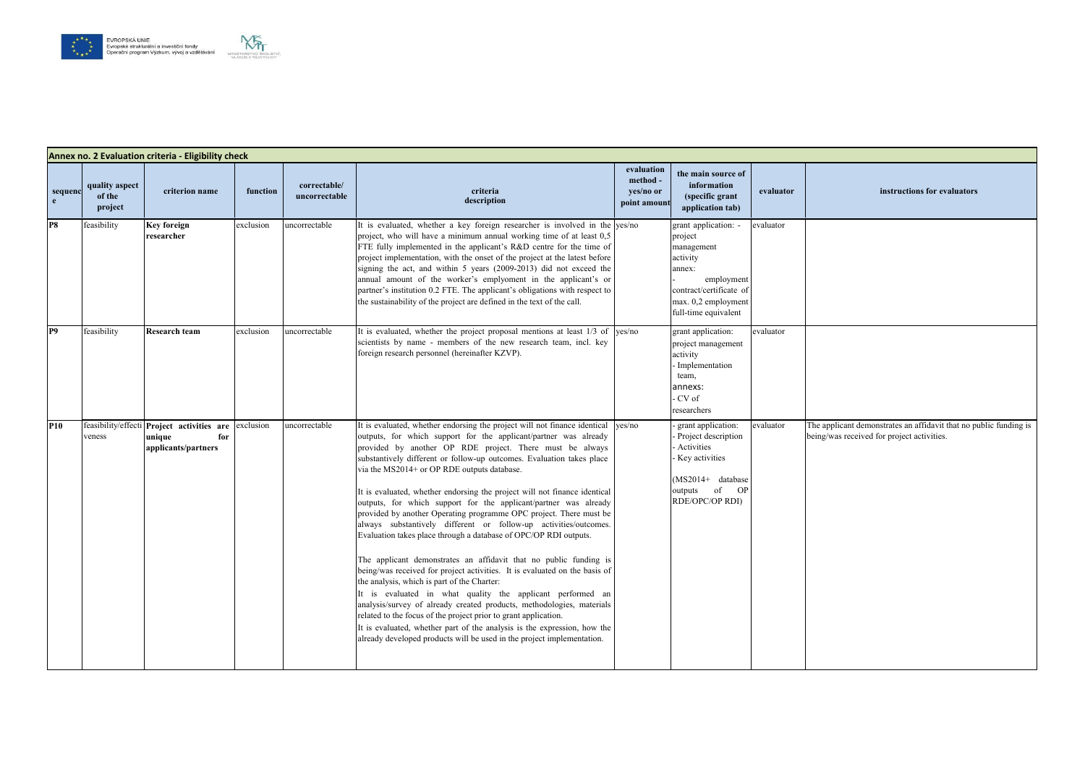# **evaluator instructions for evaluators**



| sequenc<br>e.  | quality aspect<br>of the<br>project | criterion name                                                                     | function  | correctable/<br>uncorrectable | criteria<br>description                                                                                                                                                                                                                                                                                                                                                                                                                                                                                                                                                                                                                                                                                                                                                                                                                                                                                                                                                                                                                                                                                                                                                                                                                                            | evaluation<br>method -<br>yes/no or<br>point amount | the main source of<br>information<br>(specific grant<br>application tab)                                                                                    | evaluator |          |
|----------------|-------------------------------------|------------------------------------------------------------------------------------|-----------|-------------------------------|--------------------------------------------------------------------------------------------------------------------------------------------------------------------------------------------------------------------------------------------------------------------------------------------------------------------------------------------------------------------------------------------------------------------------------------------------------------------------------------------------------------------------------------------------------------------------------------------------------------------------------------------------------------------------------------------------------------------------------------------------------------------------------------------------------------------------------------------------------------------------------------------------------------------------------------------------------------------------------------------------------------------------------------------------------------------------------------------------------------------------------------------------------------------------------------------------------------------------------------------------------------------|-----------------------------------------------------|-------------------------------------------------------------------------------------------------------------------------------------------------------------|-----------|----------|
| P <sub>8</sub> | feasibility                         | <b>Key foreign</b><br>researcher                                                   | exclusion | uncorrectable                 | It is evaluated, whether a key foreign researcher is involved in the yes/no<br>project, who will have a minimum annual working time of at least 0,5<br>FTE fully implemented in the applicant's R&D centre for the time of<br>project implementation, with the onset of the project at the latest before<br>signing the act, and within 5 years (2009-2013) did not exceed the<br>annual amount of the worker's emplyoment in the applicant's or<br>partner's institution 0.2 FTE. The applicant's obligations with respect to<br>the sustainability of the project are defined in the text of the call.                                                                                                                                                                                                                                                                                                                                                                                                                                                                                                                                                                                                                                                           |                                                     | grant application: -<br>project<br>management<br>activity<br>annex:<br>employment<br>contract/certificate of<br>max. 0,2 employment<br>full-time equivalent | evaluator |          |
| P9             | feasibility                         | <b>Research team</b>                                                               | exclusion | uncorrectable                 | It is evaluated, whether the project proposal mentions at least 1/3 of yes/no<br>scientists by name - members of the new research team, incl. key<br>foreign research personnel (hereinafter KZVP).                                                                                                                                                                                                                                                                                                                                                                                                                                                                                                                                                                                                                                                                                                                                                                                                                                                                                                                                                                                                                                                                |                                                     | grant application:<br>project management<br>activity<br>- Implementation<br>team,<br>annexs:<br>- CV of<br>researchers                                      | evaluator |          |
| <b>P10</b>     | veness                              | feasibility/effecti Project activities are<br>unique<br>for<br>applicants/partners | exclusion | uncorrectable                 | It is evaluated, whether endorsing the project will not finance identical<br>outputs, for which support for the applicant/partner was already<br>provided by another OP RDE project. There must be always<br>substantively different or follow-up outcomes. Evaluation takes place<br>via the MS2014+ or OP RDE outputs database.<br>It is evaluated, whether endorsing the project will not finance identical<br>outputs, for which support for the applicant/partner was already<br>provided by another Operating programme OPC project. There must be<br>always substantively different or follow-up activities/outcomes.<br>Evaluation takes place through a database of OPC/OP RDI outputs.<br>The applicant demonstrates an affidavit that no public funding is<br>being/was received for project activities. It is evaluated on the basis of<br>the analysis, which is part of the Charter:<br>It is evaluated in what quality the applicant performed an<br>analysis/survey of already created products, methodologies, materials<br>related to the focus of the project prior to grant application.<br>It is evaluated, whether part of the analysis is the expression, how the<br>already developed products will be used in the project implementation. | ves/no                                              | grant application:<br>Project description<br>- Activities<br>- Key activities<br>$(MS2014+$ database<br>of<br><b>OP</b><br>outputs<br>RDE/OPC/OP RDI)       | evaluator | Tł<br>be |

The applicant demonstrates an affidavit that no public funding is being/was received for project activities.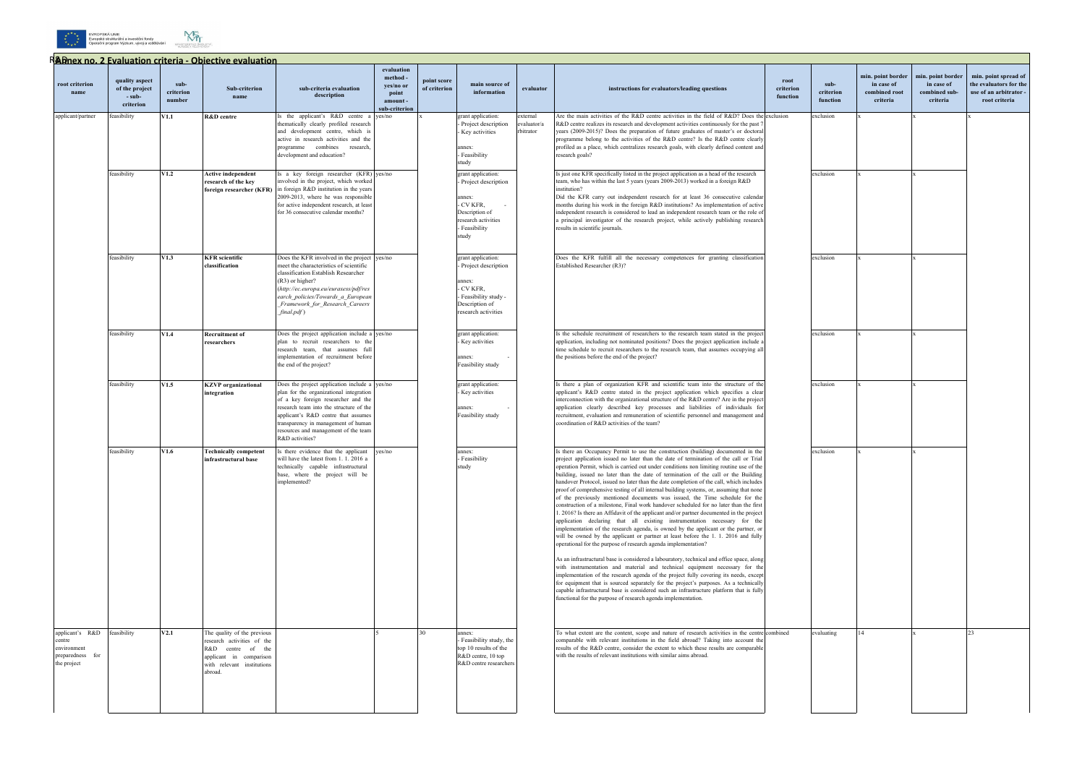



|                                                                             |                                                         |                             | Radnex no. 2 Evaluation criteria - Obiective evaluation                                                                                            |                                                                                                                                                                                                                                                                                                                     |                                                                        |                             |                                                                                                                                 |                                      |                                                                                                                                                                                                                                                                                                                                                                                                                                                                                                                                                                                                                                                                                                                                                                                                                                                                                                                                                                                                                                                                                                                                                                                                                                                                                                                                                                                                                                                                                                                                                                                                                                                                               |                               |                               |                                                              |                                                              |                                                                                          |
|-----------------------------------------------------------------------------|---------------------------------------------------------|-----------------------------|----------------------------------------------------------------------------------------------------------------------------------------------------|---------------------------------------------------------------------------------------------------------------------------------------------------------------------------------------------------------------------------------------------------------------------------------------------------------------------|------------------------------------------------------------------------|-----------------------------|---------------------------------------------------------------------------------------------------------------------------------|--------------------------------------|-------------------------------------------------------------------------------------------------------------------------------------------------------------------------------------------------------------------------------------------------------------------------------------------------------------------------------------------------------------------------------------------------------------------------------------------------------------------------------------------------------------------------------------------------------------------------------------------------------------------------------------------------------------------------------------------------------------------------------------------------------------------------------------------------------------------------------------------------------------------------------------------------------------------------------------------------------------------------------------------------------------------------------------------------------------------------------------------------------------------------------------------------------------------------------------------------------------------------------------------------------------------------------------------------------------------------------------------------------------------------------------------------------------------------------------------------------------------------------------------------------------------------------------------------------------------------------------------------------------------------------------------------------------------------------|-------------------------------|-------------------------------|--------------------------------------------------------------|--------------------------------------------------------------|------------------------------------------------------------------------------------------|
| root criterion<br>name                                                      | quality aspect<br>of the project<br>- sub-<br>criterion | sub-<br>criterion<br>number | <b>Sub-criterion</b><br>name                                                                                                                       | sub-criteria evaluation<br>description                                                                                                                                                                                                                                                                              | evaluation<br>method -<br>yes/no or<br>point<br>amount<br>ub-criterion | point score<br>of criterion | main source of<br>information                                                                                                   | evaluator                            | instructions for evaluators/leading questions                                                                                                                                                                                                                                                                                                                                                                                                                                                                                                                                                                                                                                                                                                                                                                                                                                                                                                                                                                                                                                                                                                                                                                                                                                                                                                                                                                                                                                                                                                                                                                                                                                 | root<br>criterion<br>function | sub-<br>criterion<br>function | min. point border<br>in case of<br>combined root<br>criteria | min. point border<br>in case of<br>combined sub-<br>criteria | min. point spread of<br>the evaluators for the<br>use of an arbitrator.<br>root criteria |
| applicant/partner                                                           | feasibility                                             | V1.1                        | R&D centre                                                                                                                                         | s the applicant's R&D centre a yes/no<br>thematically clearly profiled research<br>and development centre, which is<br>active in research activities and the<br>programme combines research,<br>development and education?                                                                                          |                                                                        |                             | grant application:<br>Project description<br>Key activities<br>annex:<br>- Feasibility<br>study                                 | external<br>evaluator/a<br>rbitrator | Are the main activities of the R&D centre activities in the field of R&D? Does the exclusion<br>R&D centre realizes its research and development activities continuously for the past 7<br>years (2009-2015)? Does the preparation of future graduates of master's or doctoral<br>programme belong to the activities of the R&D centre? Is the R&D centre clearly<br>profiled as a place, which centralizes research goals, with clearly defined content and<br>research goals?                                                                                                                                                                                                                                                                                                                                                                                                                                                                                                                                                                                                                                                                                                                                                                                                                                                                                                                                                                                                                                                                                                                                                                                               |                               | exclusion                     |                                                              |                                                              |                                                                                          |
|                                                                             | feasibility                                             | V1.2                        | <b>Active independent</b><br>research of the key<br>foreign researcher (KFR)                                                                       | Is a key foreign researcher (KFR) yes/no<br>involved in the project, which worked<br>in foreign R&D institution in the years<br>2009-2013, where he was responsible<br>for active independent research, at least<br>for 36 consecutive calendar months?                                                             |                                                                        |                             | grant application:<br>Project description<br>annex:<br>CV KFR.<br>Description of<br>research activities<br>Feasibility<br>study |                                      | Is just one KFR specifically listed in the project application as a head of the research<br>team, who has within the last 5 years (years 2009-2013) worked in a foreign R&D<br>institution?<br>Did the KFR carry out independent research for at least 36 consecutive calendar<br>months during his work in the foreign R&D institutions? As implementation of active<br>independent research is considered to lead an independent research team or the role of<br>a principal investigator of the research project, while actively publishing research<br>results in scientific journals.                                                                                                                                                                                                                                                                                                                                                                                                                                                                                                                                                                                                                                                                                                                                                                                                                                                                                                                                                                                                                                                                                    |                               | exclusion                     |                                                              |                                                              |                                                                                          |
|                                                                             | feasibility                                             | V1.3                        | <b>KFR</b> scientific<br>classification                                                                                                            | Does the KFR involved in the project yes/no<br>meet the characteristics of scientific<br>classification Establish Researcher<br>$(R3)$ or higher?<br>(http://ec.europa.eu/euraxess/pdf/res<br>earch policies/Towards a European<br>Framework for Research Careers<br>$final.pdf$ )                                  |                                                                        |                             | grant application:<br>Project description<br>annex:<br>CV KFR,<br>Feasibility study -<br>Description of<br>research activities  |                                      | Does the KFR fulfill all the necessary competences for granting classification<br>Established Researcher (R3)?                                                                                                                                                                                                                                                                                                                                                                                                                                                                                                                                                                                                                                                                                                                                                                                                                                                                                                                                                                                                                                                                                                                                                                                                                                                                                                                                                                                                                                                                                                                                                                |                               | exclusion                     |                                                              |                                                              |                                                                                          |
|                                                                             | feasibility                                             | V1.4                        | <b>Recruitment of</b><br>researchers                                                                                                               | Does the project application include a yes/no<br>plan to recruit researchers to the<br>research team, that assumes ful<br>implementation of recruitment before<br>the end of the project?                                                                                                                           |                                                                        |                             | grant application:<br>Key activities<br>annex <sup>.</sup><br>Feasibility study                                                 |                                      | Is the schedule recruitment of researchers to the research team stated in the project<br>application, including not nominated positions? Does the project application include a<br>time schedule to recruit researchers to the research team, that assumes occupying all<br>the positions before the end of the project?                                                                                                                                                                                                                                                                                                                                                                                                                                                                                                                                                                                                                                                                                                                                                                                                                                                                                                                                                                                                                                                                                                                                                                                                                                                                                                                                                      |                               | exclusion                     |                                                              |                                                              |                                                                                          |
|                                                                             | feasibility                                             | V1.5                        | <b>KZVP</b> organizational<br>integration                                                                                                          | Does the project application include a yes/no<br>plan for the organizational integration<br>of a key foreign researcher and the<br>research team into the structure of the<br>applicant's R&D centre that assumes<br>transparency in management of human<br>resources and management of the team<br>R&D activities? |                                                                        |                             | grant application:<br>Key activities<br>annex:<br>Feasibility study                                                             |                                      | Is there a plan of organization KFR and scientific team into the structure of the<br>applicant's R&D centre stated in the project application which specifies a clear<br>interconnection with the organizational structure of the R&D centre? Are in the project<br>application clearly described key processes and liabilities of individuals for<br>recruitment, evaluation and remuneration of scientific personnel and management and<br>coordination of R&D activities of the team?                                                                                                                                                                                                                                                                                                                                                                                                                                                                                                                                                                                                                                                                                                                                                                                                                                                                                                                                                                                                                                                                                                                                                                                      |                               | exclusion                     |                                                              |                                                              |                                                                                          |
|                                                                             | feasibility                                             | V1.6                        | <b>Technically competent</b><br>nfrastructural base                                                                                                | Is there evidence that the applicant yes/no<br>will have the latest from 1, 1, 2016 a<br>technically capable infrastructural<br>base, where the project will be<br>implemented?                                                                                                                                     |                                                                        |                             | annex:<br>Feasibility<br>study                                                                                                  |                                      | Is there an Occupancy Permit to use the construction (building) documented in the<br>project application issued no later than the date of termination of the call or Trial<br>operation Permit, which is carried out under conditions non limiting routine use of the<br>building, issued no later than the date of termination of the call or the Building<br>handover Protocol, issued no later than the date completion of the call, which includes<br>proof of comprehensive testing of all internal building systems, or, assuming that none<br>of the previously mentioned documents was issued, the Time schedule for the<br>construction of a milestone. Final work handover scheduled for no later than the first<br>1. 2016? Is there an Affidavit of the applicant and/or partner documented in the project<br>application declaring that all existing instrumentation necessary for the<br>implementation of the research agenda, is owned by the applicant or the partner, or<br>will be owned by the applicant or partner at least before the 1. 1. 2016 and fully<br>operational for the purpose of research agenda implementation?<br>As an infrastructural base is considered a labouratory, technical and office space, along<br>with instrumentation and material and technical equipment necessary for the<br>implementation of the research agenda of the project fully covering its needs, except<br>for equipment that is sourced separately for the project's purposes. As a technically<br>capable infrastructural base is considered such an infrastructure platform that is fully<br>functional for the purpose of research agenda implementation. |                               | exclusion                     |                                                              |                                                              |                                                                                          |
| applicant's R&D<br>centre<br>environment<br>preparedness for<br>the project | feasibility                                             | V2.1                        | The quality of the previous<br>research activities of the<br>R&D centre of the<br>applicant in comparison<br>with relevant institutions<br>abroad. |                                                                                                                                                                                                                                                                                                                     |                                                                        | 30                          | annex:<br>- Feasibility study, the<br>top 10 results of the<br>R&D centre, 10 top<br>R&D centre researchers                     |                                      | To what extent are the content, scope and nature of research activities in the centre combined<br>comparable with relevant institutions in the field abroad? Taking into account the<br>results of the R&D centre, consider the extent to which these results are comparable<br>with the results of relevant institutions with similar aims abroad.                                                                                                                                                                                                                                                                                                                                                                                                                                                                                                                                                                                                                                                                                                                                                                                                                                                                                                                                                                                                                                                                                                                                                                                                                                                                                                                           |                               | evaluating                    | 14                                                           |                                                              | 23                                                                                       |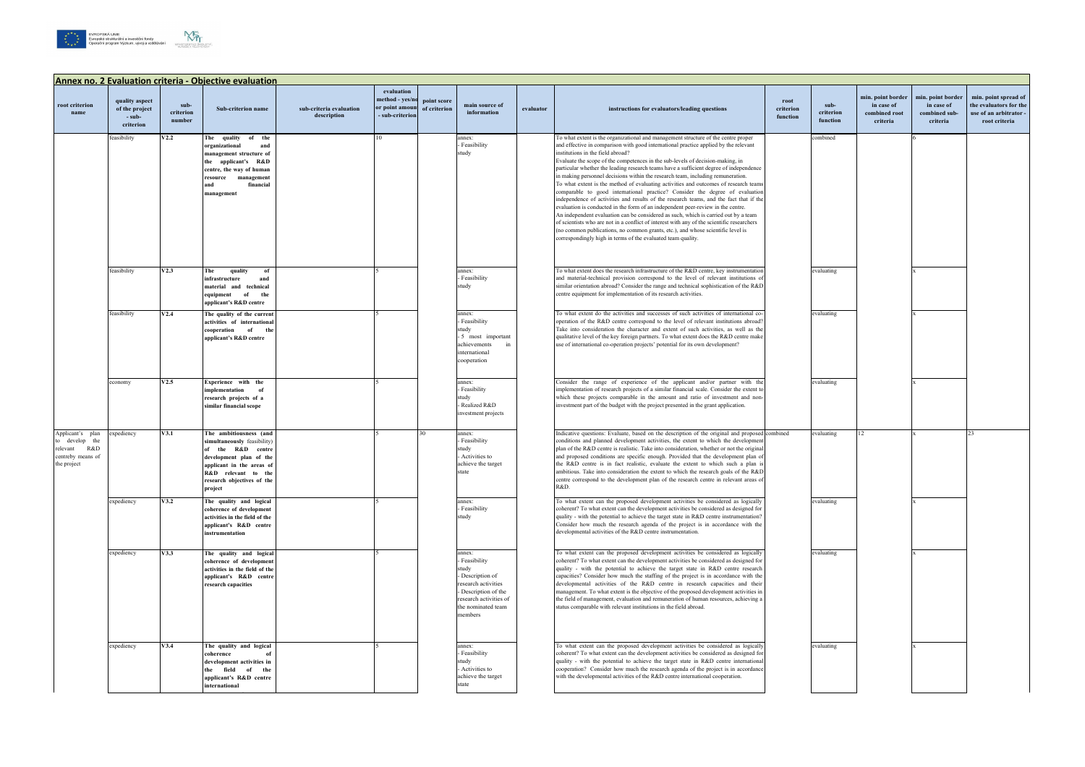





|                                                                                           | <b>Annex no. 2 Evaluation criteria - Objective evaluation</b> |                             |                                                                                                                                                                                                    |                                        |                                                                   |                             |                                                                                                                                                                |           |                                                                                                                                                                                                                                                                                                                                                                                                                                                                                                                                                                                                                                                                                                                                                                                                                                                                                                                                                                                                                                                                                                                                                                              |                               |                               |                                                              |                                                              |                                                                                           |
|-------------------------------------------------------------------------------------------|---------------------------------------------------------------|-----------------------------|----------------------------------------------------------------------------------------------------------------------------------------------------------------------------------------------------|----------------------------------------|-------------------------------------------------------------------|-----------------------------|----------------------------------------------------------------------------------------------------------------------------------------------------------------|-----------|------------------------------------------------------------------------------------------------------------------------------------------------------------------------------------------------------------------------------------------------------------------------------------------------------------------------------------------------------------------------------------------------------------------------------------------------------------------------------------------------------------------------------------------------------------------------------------------------------------------------------------------------------------------------------------------------------------------------------------------------------------------------------------------------------------------------------------------------------------------------------------------------------------------------------------------------------------------------------------------------------------------------------------------------------------------------------------------------------------------------------------------------------------------------------|-------------------------------|-------------------------------|--------------------------------------------------------------|--------------------------------------------------------------|-------------------------------------------------------------------------------------------|
| root criterion<br>name                                                                    | quality aspect<br>of the project<br>- sub-<br>criterion       | sub-<br>criterion<br>number | Sub-criterion name                                                                                                                                                                                 | sub-criteria evaluation<br>description | evaluation<br>method - yes/no<br>or point amount<br>sub-criterion | point score<br>of criterion | main source of<br>information                                                                                                                                  | evaluator | instructions for evaluators/leading questions                                                                                                                                                                                                                                                                                                                                                                                                                                                                                                                                                                                                                                                                                                                                                                                                                                                                                                                                                                                                                                                                                                                                | root<br>criterion<br>function | sub-<br>criterion<br>function | min. point border<br>in case of<br>combined root<br>criteria | min. point border<br>in case of<br>combined sub-<br>criteria | min. point spread of<br>the evaluators for the<br>use of an arbitrator -<br>root criteria |
|                                                                                           | feasibility                                                   | V2.2                        | The quality<br>of the<br>organizational<br>and<br>management structure of<br>the applicant's R&D<br>centre, the way of human<br>resource management<br>and<br>financial<br>management              |                                        | 10                                                                |                             | annex:<br>- Feasibility<br>study                                                                                                                               |           | To what extent is the organizational and management structure of the centre proper<br>and effective in comparison with good international practice applied by the relevant<br>institutions in the field abroad?<br>Evaluate the scope of the competences in the sub-levels of decision-making, in<br>particular whether the leading research teams have a sufficient degree of independence<br>in making personnel decisions within the research team, including remuneration.<br>To what extent is the method of evaluating activities and outcomes of research teams<br>comparable to good international practice? Consider the degree of evaluation<br>independence of activities and results of the research teams, and the fact that if the<br>evaluation is conducted in the form of an independent peer-review in the centre.<br>An independent evaluation can be considered as such, which is carried out by a team<br>of scientists who are not in a conflict of interest with any of the scientific researchers<br>(no common publications, no common grants, etc.), and whose scientific level is<br>correspondingly high in terms of the evaluated team quality. |                               | combined                      |                                                              |                                                              |                                                                                           |
|                                                                                           | feasibility                                                   | V2.3                        | The<br>quality<br>of<br>infrastructure<br>and<br>material and technical<br>of<br>the<br>equipment<br>applicant's R&D centre                                                                        |                                        |                                                                   |                             | annex:<br>- Feasibility<br>study                                                                                                                               |           | To what extent does the research infrastructure of the R&D centre, key instrumentation<br>and material-technical provision correspond to the level of relevant institutions o<br>similar orientation abroad? Consider the range and technical sophistication of the R&D<br>centre equipment for implementation of its research activities.                                                                                                                                                                                                                                                                                                                                                                                                                                                                                                                                                                                                                                                                                                                                                                                                                                   |                               | evaluating                    |                                                              |                                                              |                                                                                           |
|                                                                                           | feasibility                                                   | V2.4                        | The quality of the current<br>activities of international<br>of<br>cooperation<br>the<br>applicant's R&D centre                                                                                    |                                        |                                                                   |                             | annex:<br>- Feasibility<br>study<br>- 5 most important<br>achievements<br>international<br>cooperation                                                         |           | To what extent do the activities and successes of such activities of international co-<br>operation of the R&D centre correspond to the level of relevant institutions abroad<br>Take into consideration the character and extent of such activities, as well as the<br>qualitative level of the key foreign partners. To what extent does the R&D centre make<br>use of international co-operation projects' potential for its own development?                                                                                                                                                                                                                                                                                                                                                                                                                                                                                                                                                                                                                                                                                                                             |                               | evaluating                    |                                                              |                                                              |                                                                                           |
|                                                                                           | economy                                                       | V2.5                        | Experience with the<br>implementation<br>of<br>research projects of a<br>similar financial scope                                                                                                   |                                        |                                                                   |                             | annex:<br>- Feasibility<br>study<br>- Realized R&D<br>investment projects                                                                                      |           | Consider the range of experience of the applicant and/or partner with the<br>implementation of research projects of a similar financial scale. Consider the extent to<br>which these projects comparable in the amount and ratio of investment and non-<br>investment part of the budget with the project presented in the grant application.                                                                                                                                                                                                                                                                                                                                                                                                                                                                                                                                                                                                                                                                                                                                                                                                                                |                               | evaluating                    |                                                              |                                                              |                                                                                           |
| Applicant's plan<br>to develop the<br>R&D<br>relevant<br>centreby means of<br>the project | expediency                                                    | V3.1                        | The ambitiousness (and<br>simultaneously feasibility)<br>of the R&D centre<br>development plan of the<br>applicant in the areas of<br>R&D relevant to the<br>research objectives of the<br>project |                                        |                                                                   |                             | annex:<br>- Feasibility<br>study<br>- Activities to<br>achieve the target<br>state                                                                             |           | Indicative questions: Evaluate, based on the description of the original and proposed combined<br>conditions and planned development activities, the extent to which the developmen<br>plan of the R&D centre is realistic. Take into consideration, whether or not the original<br>and proposed conditions are specific enough. Provided that the development plan of<br>the R&D centre is in fact realistic, evaluate the extent to which such a plan<br>ambitious. Take into consideration the extent to which the research goals of the R&D<br>centre correspond to the development plan of the research centre in relevant areas of<br>R&D.                                                                                                                                                                                                                                                                                                                                                                                                                                                                                                                             |                               | evaluating                    | 12                                                           |                                                              | つる                                                                                        |
|                                                                                           | expediency                                                    | V3.2                        | The quality and logical<br>coherence of development<br>activities in the field of the<br>applicant's R&D centre<br>instrumentation                                                                 |                                        |                                                                   |                             | annex:<br>- Feasibility<br>study                                                                                                                               |           | To what extent can the proposed development activities be considered as logically<br>coherent? To what extent can the development activities be considered as designed for<br>quality - with the potential to achieve the target state in R&D centre instrumentation?<br>Consider how much the research agenda of the project is in accordance with the<br>developmental activities of the R&D centre instrumentation.                                                                                                                                                                                                                                                                                                                                                                                                                                                                                                                                                                                                                                                                                                                                                       |                               | evaluating                    |                                                              |                                                              |                                                                                           |
|                                                                                           | expediency                                                    | V3.3                        | The quality and logical<br>coherence of development<br>activities in the field of the<br>applicant's R&D centre<br>research capacities                                                             |                                        |                                                                   |                             | annex:<br>- Feasibility<br>study<br>- Description of<br>research activities<br>- Description of the<br>research activities of<br>the nominated team<br>members |           | To what extent can the proposed development activities be considered as logically<br>coherent? To what extent can the development activities be considered as designed for<br>quality - with the potential to achieve the target state in R&D centre research<br>capacities? Consider how much the staffing of the project is in accordance with the<br>developmental activities of the R&D centre in research capacities and their<br>management. To what extent is the objective of the proposed development activities in<br>the field of management, evaluation and remuneration of human resources, achieving a<br>status comparable with relevant institutions in the field abroad.                                                                                                                                                                                                                                                                                                                                                                                                                                                                                    |                               | evaluating                    |                                                              |                                                              |                                                                                           |
|                                                                                           | expediency                                                    | V3.4                        | The quality and logical<br>coherence<br>development activities in<br>the field of the<br>applicant's R&D centre<br>international                                                                   |                                        |                                                                   |                             | annex:<br>- Feasibility<br>study<br>- Activities to<br>achieve the target<br>state                                                                             |           | To what extent can the proposed development activities be considered as logically<br>coherent? To what extent can the development activities be considered as designed for<br>quality - with the potential to achieve the target state in R&D centre international<br>cooperation? Consider how much the research agenda of the project is in accordance<br>with the developmental activities of the R&D centre international cooperation.                                                                                                                                                                                                                                                                                                                                                                                                                                                                                                                                                                                                                                                                                                                                   |                               | evaluating                    |                                                              |                                                              |                                                                                           |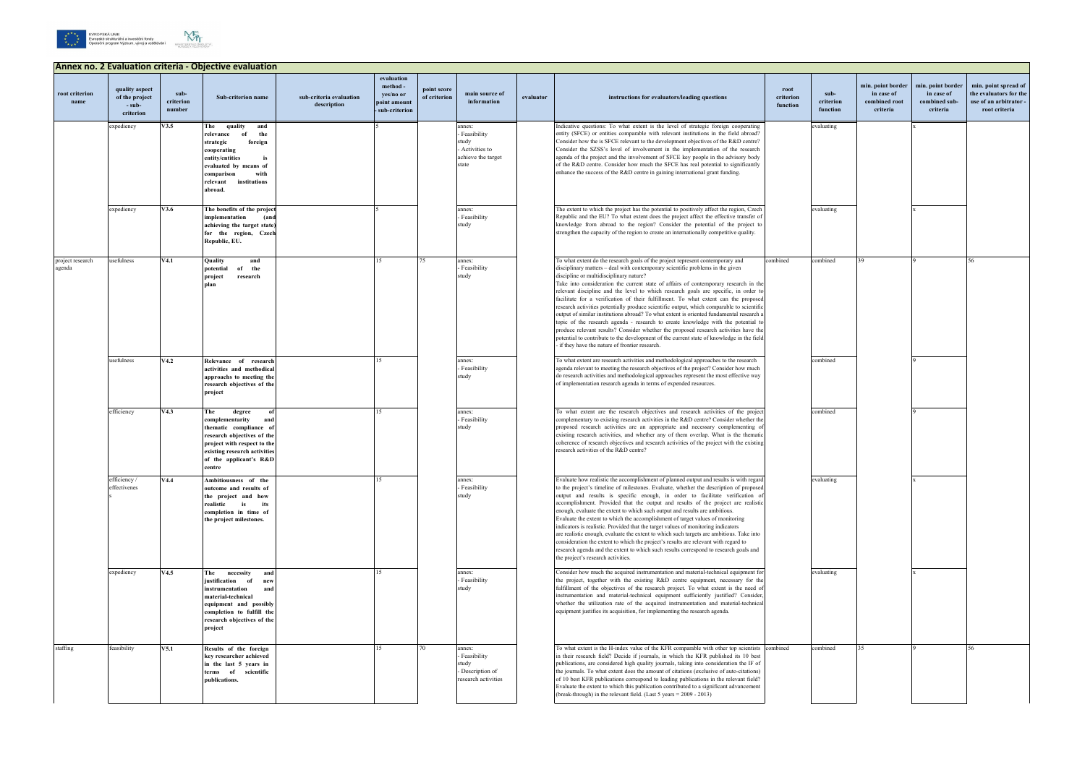## **Annex no. 2 Evaluation criteria - Objective evaluation root criterion name quality aspect of the project - subcriterion subcriterion number Sub-criterion name sub-criteria evaluation description evaluation method yes/no or point amount - sub-criterion point score**  point score<br>of criterion **main** source of<br>information **instructions for evaluators/leading questions root criterion function** expediency **V3.5 The quality and relevance of the strategic foreign cooperating entity/entities is evaluated by means of comparison with relevant institutions abroad.** 5 annex: - Feasibility study - Activities to achieve the target state Indicative questions: To what extent is the level of strategic foreign cooperating entity (SFCE) or entities comparable with relevant institutions in the field abroad? Consider how the is SFCE relevant to the development objectives of the R&D centre? Consider the SZSS's level of involvement in the implementation of the research agenda of the project and the involvement of SFCE key people in the advisory body of the R&D centre. Consider how much the SFCE has real potential to significantly enhance the success of the R&D centre in gaining international grant funding. expediency **V3.6 The benefits of the project implementation** (an **achieving the target state)**  for the region, Czecl **Republic, EU.** 5 annex: - Feasibility tudy The extent to which the project has the potential to positively affect the region, Czech Republic and the EU? To what extent does the project affect the effective transfer of knowledge from abroad to the region? Consider the potential of the project to strengthen the capacity of the region to create an internationally competitive quality. roject research enda usefulness **V4.1 Quality and potential of the project research plan** 15 75 annex: - Feasibility tudy To what extent do the research goals of the project represent contemporary and disciplinary matters – deal with contemporary scientific problems in the given discipline or multidisciplinary nature? Take into consideration the current state of affairs of contemporary research in the relevant discipline and the level to which research goals are specific, in order to facilitate for a verification of their fulfillment. To what extent can the propose research activities potentially produce scientific output, which comparable to scientific output of similar institutions abroad? To what extent is oriented fundamental research a topic of the research agenda - research to create knowledge with the potential to produce relevant results? Consider whether the proposed research activities have the potential to contribute to the development of the current state of knowledge in the field - if they have the nature of frontier research. usefulness **V4.2 Relevance of research activities and methodical approachs to meeting the research objectives of the project** 15 annex: Feasibility study To what extent are research activities and methodological approaches to the research agenda relevant to meeting the research objectives of the project? Consider how much do research activities and methodological approaches represent the most effective way of implementation research agenda in terms of expended resources. efficiency **V4.3** The degree **complementarity and thematic compliance of research objectives of the project with respect to the existing research activities of the applicant's R&D centre** 15 annex: Feasibility study To what extent are the research objectives and research activities of the projectives complementary to existing research activities in the R&D centre? Consider whether the proposed research activities are an appropriate and necessary complementing existing research activities, and whether any of them overlap. What is the thematic coherence of research objectives and research activities of the project with the existing research activities of the R&D centre? efficiency / ..<br>•ffectivenes s **V4.4 Ambitiousness of the outcome and results of the project and how realistic is its completion in time of the project milestones.** 15 annex: - Feasibility study Evaluate how realistic the accomplishment of planned output and results is with regard to the project's timeline of milestones. Evaluate, whether the description of proposed output and results is specific enough, in order to facilitate verification accomplishment. Provided that the output and results of the project are realisti enough, evaluate the extent to which such output and results are ambitious. Evaluate the extent to which the accomplishment of target values of monitoring indicators is realistic. Provided that the target values of monitoring indicators are realistic enough, evaluate the extent to which such targets are ambitious. Take into consideration the extent to which the project's results are relevant with regard to research agenda and the extent to which such results correspond to research goals and the project's research activities. expediency **V4.5 The necessity and justification of new instrumentation and material-technical equipment and possibly completion to fulfill the research objectives of the project** 15 annex: Feasibility tudy Consider how much the acquired instrumentation and material-technical equipment for the project, together with the existing R&D centre equipment, necessary for the fulfillment of the objectives of the research project. To what extent is the need of trumentation and material-technical equipment sufficiently justified? Consider whether the utilization rate of the acquired instrumentation and material-technical equipment justifies its acquisition, for implementing the research agenda. staffing feasibility **V5.1 Results of the foreign key researcher achieved in the last 5 years in terms of scientific**  15 70 annex: - Feasibility tudy - Description of To what extent is the H-index value of the KFR comparable with other top scientists in their research field? Decide if journals, in which the KFR published its 10 best publications, are considered high quality journals, taking into consideration the IF of the journals. To what extent does the amount of citations (exclusive of auto-citations)

esearch activities

| root<br>criterion<br>function | sub-<br>criterion<br>function | min. point border<br>in case of<br>combined root<br>criteria | min. point border<br>in case of<br>combined sub-<br>criteria | min. point spread of<br>the evaluators for the<br>use of an arbitrator -<br>root criteria |
|-------------------------------|-------------------------------|--------------------------------------------------------------|--------------------------------------------------------------|-------------------------------------------------------------------------------------------|
|                               | evaluating                    |                                                              | $\mathbf x$                                                  |                                                                                           |
|                               |                               |                                                              |                                                              |                                                                                           |
|                               |                               |                                                              |                                                              |                                                                                           |
|                               |                               |                                                              |                                                              |                                                                                           |
|                               | $\it evaluating$              |                                                              | $\mathbf x$                                                  |                                                                                           |
|                               |                               |                                                              |                                                              |                                                                                           |
| combined                      | combined                      | 39                                                           | $\overline{9}$                                               | 56                                                                                        |
|                               |                               |                                                              |                                                              |                                                                                           |
|                               |                               |                                                              |                                                              |                                                                                           |
|                               |                               |                                                              |                                                              |                                                                                           |
|                               |                               |                                                              |                                                              |                                                                                           |
|                               | combined                      |                                                              | 9                                                            |                                                                                           |
|                               |                               |                                                              |                                                              |                                                                                           |
|                               |                               |                                                              |                                                              |                                                                                           |
|                               | $\rm combined$                |                                                              | $\overline{9}$                                               |                                                                                           |
|                               |                               |                                                              |                                                              |                                                                                           |
|                               |                               |                                                              |                                                              |                                                                                           |
|                               | $evaluating$                  |                                                              | $\mathbf x$                                                  |                                                                                           |
|                               |                               |                                                              |                                                              |                                                                                           |
|                               |                               |                                                              |                                                              |                                                                                           |
|                               |                               |                                                              |                                                              |                                                                                           |
|                               | evaluating                    |                                                              | $\mathbf x$                                                  |                                                                                           |
|                               |                               |                                                              |                                                              |                                                                                           |
|                               |                               |                                                              |                                                              |                                                                                           |
|                               |                               |                                                              |                                                              |                                                                                           |
| combined                      | combined                      | 35                                                           | 9                                                            | 56                                                                                        |
|                               |                               |                                                              |                                                              |                                                                                           |
|                               |                               |                                                              |                                                              |                                                                                           |







**publications.**

of 10 best KFR publications correspond to leading publications in the relevant field? Evaluate the extent to which this publication contributed to a significant advancement

break-through) in the relevant field. (Last 5 years =  $2009 - 2013$ )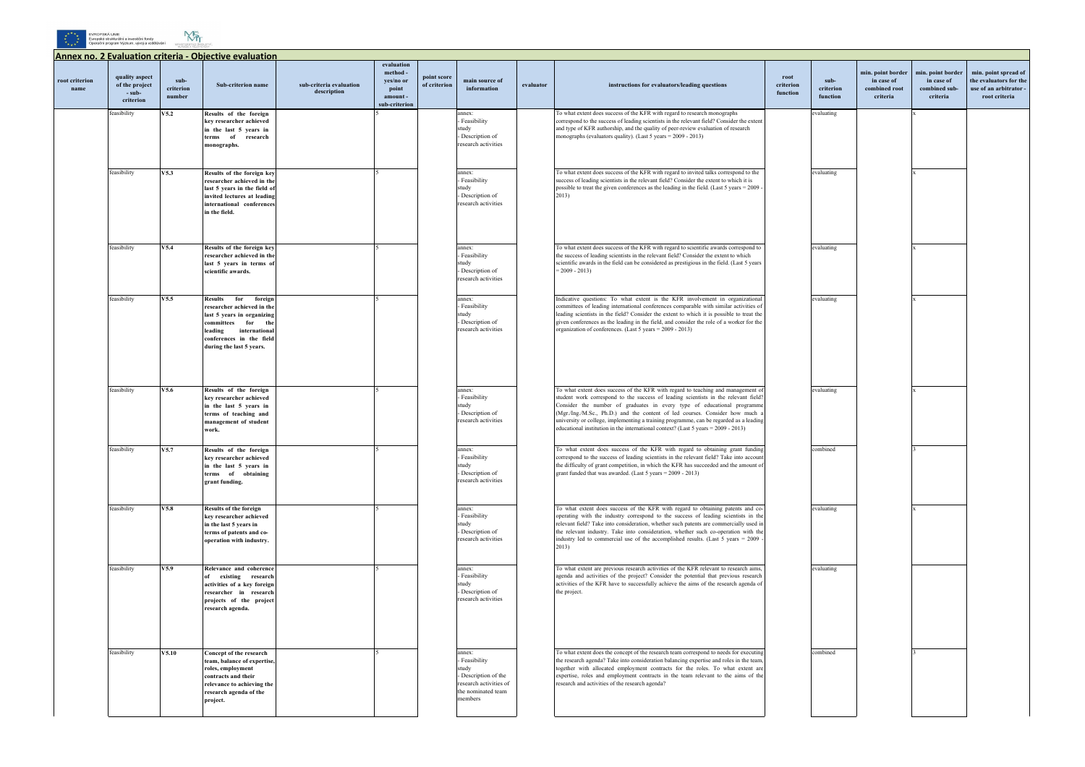



## **Annex no. 2 Evaluation criteria - Objective evaluation root criterion name quality aspect of the project - subcriterion subcriterion number Sub-criterion name sub-criteria evaluation description evaluation method yes/no or point amount sub-criterion point score point score** main source of of criterion information **instructions for evaluators/leading questions root criterion function** feasibility **V5.2 Results of the foreign key researcher achieved in the last 5 years in terms of research monographs.** 5 annex: - Feasibility study - Description of research activities To what extent does success of the KFR with regard to research monographs correspond to the success of leading scientists in the relevant field? Consider the extent and type of KFR authorship, and the quality of peer-review evaluation of research monographs (evaluators quality). (Last 5 years = 2009 - 2013) feasibility **V5.3 Results of the foreign key**  5 annex: - Feasibility extend to the extend to the  $\overline{\phantom{a}}$ success of leading scientists in the relevant field? Consider the extent to which it is eval

|                                 | min. point border                       | min. point border                       | min. point spread of                                              |
|---------------------------------|-----------------------------------------|-----------------------------------------|-------------------------------------------------------------------|
| $sub-$<br>criterion<br>function | in case of<br>combined root<br>criteria | in case of<br>combined sub-<br>criteria | the evaluators for the<br>use of an arbitrator -<br>root criteria |
| evaluating                      |                                         | $\mathbf{x}$                            |                                                                   |
|                                 |                                         |                                         |                                                                   |
|                                 |                                         |                                         |                                                                   |
| evaluating                      |                                         | $\mathbf x$                             |                                                                   |
|                                 |                                         |                                         |                                                                   |
|                                 |                                         |                                         |                                                                   |
| evaluating                      |                                         | $\mathbf x$                             |                                                                   |
|                                 |                                         |                                         |                                                                   |
| evaluating                      |                                         | $\mathbf x$                             |                                                                   |
|                                 |                                         |                                         |                                                                   |
|                                 |                                         |                                         |                                                                   |
|                                 |                                         |                                         |                                                                   |
|                                 |                                         |                                         |                                                                   |
| evaluating                      |                                         | $\mathbf{x}$                            |                                                                   |
|                                 |                                         |                                         |                                                                   |
| combined                        |                                         | 3                                       |                                                                   |
|                                 |                                         |                                         |                                                                   |
|                                 |                                         |                                         |                                                                   |
| evaluating                      |                                         | X                                       |                                                                   |
|                                 |                                         |                                         |                                                                   |
|                                 |                                         |                                         |                                                                   |
| evaluating                      |                                         |                                         |                                                                   |
|                                 |                                         |                                         |                                                                   |
|                                 |                                         |                                         |                                                                   |
| combined                        |                                         | $\overline{\mathbf{3}}$                 |                                                                   |
|                                 |                                         |                                         |                                                                   |
|                                 |                                         |                                         |                                                                   |
|                                 |                                         |                                         |                                                                   |

| feasibility | V5.3  | Results of the foreign key<br>researcher achieved in the<br>last 5 years in the field of<br>invited lectures at leading<br>international conferences<br>in the field.                                        |  | annex:<br>Feasibility<br>study<br>Description of<br>research activities                                         | To what extent does success of the KFR with regard to invited talks correspond to the<br>success of leading scientists in the relevant field? Consider the extent to which it is<br>possible to treat the given conferences as the leading in the field. (Last 5 years = 2009 -<br>2013)                                                                                                                                                                                                                             |
|-------------|-------|--------------------------------------------------------------------------------------------------------------------------------------------------------------------------------------------------------------|--|-----------------------------------------------------------------------------------------------------------------|----------------------------------------------------------------------------------------------------------------------------------------------------------------------------------------------------------------------------------------------------------------------------------------------------------------------------------------------------------------------------------------------------------------------------------------------------------------------------------------------------------------------|
| feasibility | V5.4  | Results of the foreign key<br>researcher achieved in the<br>last 5 years in terms of<br>scientific awards.                                                                                                   |  | annex:<br>Feasibility<br>study<br>Description of<br>research activities                                         | To what extent does success of the KFR with regard to scientific awards correspond to<br>the success of leading scientists in the relevant field? Consider the extent to which<br>scientific awards in the field can be considered as prestigious in the field. (Last 5 years<br>$= 2009 - 2013$                                                                                                                                                                                                                     |
| feasibility | V5.5  | <b>Results</b><br>for<br>foreign<br>researcher achieved in the<br>last 5 years in organizing<br>committees<br>for<br>the<br>international<br>leading<br>conferences in the field<br>during the last 5 years. |  | annex:<br>Feasibility<br>study<br>Description of<br>research activities                                         | Indicative questions: To what extent is the KFR involvement in organizational<br>committees of leading international conferences comparable with similar activities of<br>leading scientists in the field? Consider the extent to which it is possible to treat the<br>given conferences as the leading in the field, and consider the role of a worker for the<br>organization of conferences. (Last 5 years = 2009 - 2013)                                                                                         |
| feasibility | V5.6  | Results of the foreign<br>key researcher achieved<br>in the last 5 years in<br>terms of teaching and<br>management of student<br>work.                                                                       |  | annex:<br>Feasibility<br>study<br>Description of<br>research activities                                         | To what extent does success of the KFR with regard to teaching and management of<br>student work correspond to the success of leading scientists in the relevant field?<br>Consider the number of graduates in every type of educational programme<br>(Mgr./Ing./M.Sc., Ph.D.) and the content of led courses. Consider how much a<br>university or college, implementing a training programme, can be regarded as a leading<br>educational institution in the international context? (Last $5$ years = 2009 - 2013) |
| feasibility | V5.7  | Results of the foreign<br>key researcher achieved<br>in the last 5 years in<br>terms of obtaining<br>grant funding.                                                                                          |  | annex:<br>Feasibility<br>study<br>Description of<br>research activities                                         | To what extent does success of the KFR with regard to obtaining grant funding<br>correspond to the success of leading scientists in the relevant field? Take into account<br>the difficulty of grant competition, in which the KFR has succeeded and the amount of<br>grant funded that was awarded. (Last $5$ years = 2009 - 2013)                                                                                                                                                                                  |
| feasibility | V5.8  | <b>Results of the foreign</b><br>key researcher achieved<br>in the last 5 years in<br>terms of patents and co-<br>operation with industry.                                                                   |  | annex:<br>Feasibility<br>study<br>Description of<br>research activities                                         | To what extent does success of the KFR with regard to obtaining patents and co-<br>operating with the industry correspond to the success of leading scientists in the<br>relevant field? Take into consideration, whether such patents are commercially used in<br>the relevant industry. Take into consideration, whether such co-operation with the<br>industry led to commercial use of the accomplished results. (Last $5$ years = 2009<br>2013)                                                                 |
| feasibility | V5.9  | Relevance and coherence<br>existing research<br>of<br>activities of a key foreign<br>researcher in research<br>projects of the project<br>research agenda.                                                   |  | annex:<br>Feasibility<br>study<br>Description of<br>research activities                                         | To what extent are previous research activities of the KFR relevant to research aims,<br>agenda and activities of the project? Consider the potential that previous research<br>activities of the KFR have to successfully achieve the aims of the research agenda of<br>the project.                                                                                                                                                                                                                                |
| feasibility | V5.10 | Concept of the research<br>team, balance of expertise,<br>roles, employment<br>contracts and their<br>relevance to achieving the<br>research agenda of the<br>project.                                       |  | annex:<br>Feasibility<br>study<br>Description of the<br>research activities of<br>the nominated team<br>members | To what extent does the concept of the research team correspond to needs for executing<br>the research agenda? Take into consideration balancing expertise and roles in the team,<br>together with allocated employment contracts for the roles. To what extent are<br>expertise, roles and employment contracts in the team relevant to the aims of the<br>research and activities of the research agenda?                                                                                                          |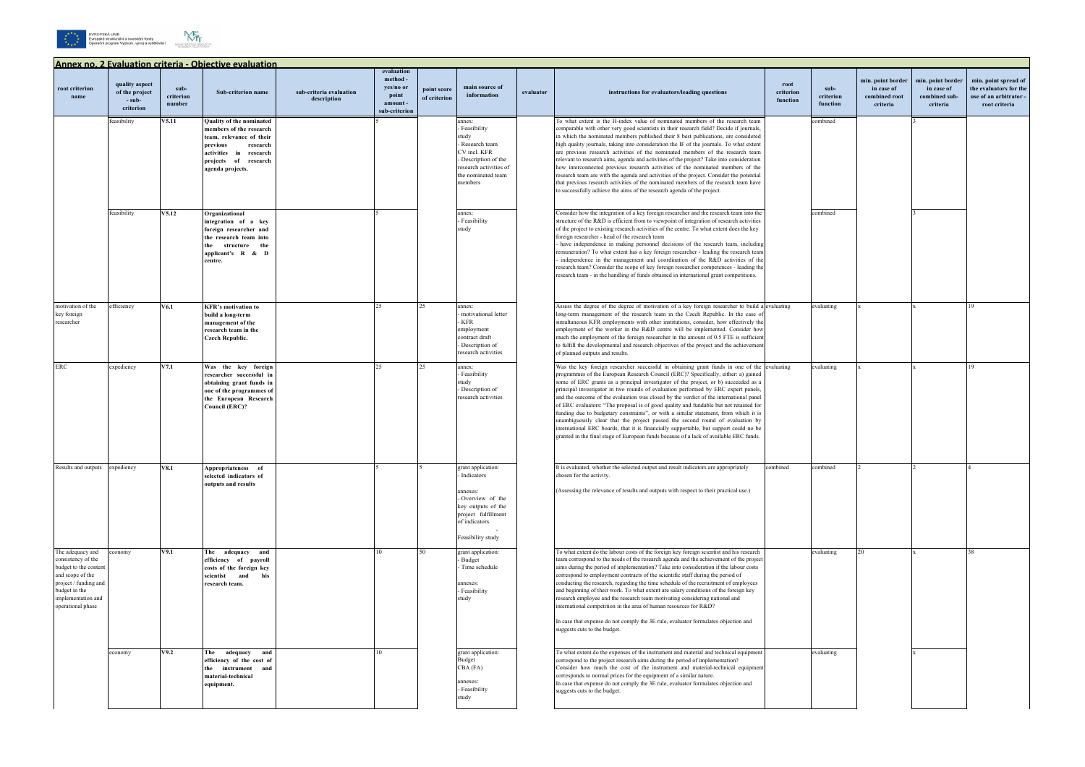





| tělávání | MINISTERSTVO ŠKOLSTVÍ,<br>ME ADEPE A TÊLOVÝCHOVY |
|----------|--------------------------------------------------|
|          | ,,,,,,,,,                                        |

| Annex no. 2 Evaluation criteria - Obiective evaluation                                                                                                                   |                                                         |                             |                                                                                                                                                                               |                                        |                                                                         |                             |                                                                                                                                                      |           |                                                                                                                                                                                                                                                                                                                                                                                                                                                                                                                                                                                                                                                                                                                                                                                                                                                                                                               |                               |                               |                                                              |                                                              |                                                                                          |
|--------------------------------------------------------------------------------------------------------------------------------------------------------------------------|---------------------------------------------------------|-----------------------------|-------------------------------------------------------------------------------------------------------------------------------------------------------------------------------|----------------------------------------|-------------------------------------------------------------------------|-----------------------------|------------------------------------------------------------------------------------------------------------------------------------------------------|-----------|---------------------------------------------------------------------------------------------------------------------------------------------------------------------------------------------------------------------------------------------------------------------------------------------------------------------------------------------------------------------------------------------------------------------------------------------------------------------------------------------------------------------------------------------------------------------------------------------------------------------------------------------------------------------------------------------------------------------------------------------------------------------------------------------------------------------------------------------------------------------------------------------------------------|-------------------------------|-------------------------------|--------------------------------------------------------------|--------------------------------------------------------------|------------------------------------------------------------------------------------------|
| root criterion<br>name                                                                                                                                                   | quality aspect<br>of the project<br>- sub-<br>criterion | sub-<br>criterion<br>number | Sub-criterion name                                                                                                                                                            | sub-criteria evaluation<br>description | evaluation<br>method-<br>yes/no or<br>point<br>amount-<br>sub-criterion | point score<br>of criterion | main source of<br>information                                                                                                                        | evaluator | instructions for evaluators/leading questions                                                                                                                                                                                                                                                                                                                                                                                                                                                                                                                                                                                                                                                                                                                                                                                                                                                                 | root<br>criterion<br>function | sub-<br>criterion<br>function | min. point border<br>in case of<br>combined root<br>criteria | min. point border<br>in case of<br>combined sub-<br>criteria | min. point spread of<br>the evaluators for the<br>use of an arbitrator.<br>root criteria |
|                                                                                                                                                                          | feasibility                                             | V5.11                       | Quality of the nominated<br>members of the research<br>team, relevance of their<br>previous<br>research<br>activities in research<br>projects of research<br>agenda projects. |                                        |                                                                         |                             | annex:<br>Feasibility<br>study<br>- Research team<br>CV incl. KFR<br>- Description of the<br>research activities of<br>the nominated team<br>members |           | To what extent is the H-index value of nominated members of the research team<br>comparable with other very good scientists in their research field? Decide if journals,<br>in which the nominated members published their 8 best publications, are considered<br>high quality journals, taking into consideration the IF of the journals. To what extent<br>are previous research activities of the nominated members of the research team<br>relevant to research aims, agenda and activities of the project? Take into consideration<br>how interconnected previous research activities of the nominated members of the<br>research team are with the agenda and activities of the project. Consider the potential<br>that previous research activities of the nominated members of the research team have<br>to successfully achieve the aims of the research agenda of the project.                      |                               | combined                      |                                                              |                                                              |                                                                                          |
|                                                                                                                                                                          | feasibility                                             | V5.12                       | Organizational<br>integration of a key<br>foreign researcher and<br>the research team into<br>the<br>structure<br>the<br>applicant's R & D<br>centre.                         |                                        |                                                                         |                             | annex:<br>Feasibility<br>study                                                                                                                       |           | Consider how the integration of a key foreign researcher and the research team into the<br>structure of the R&D is efficient from to viewpoint of integration of research activities<br>of the project to existing research activities of the centre. To what extent does the key<br>foreign researcher - head of the research team<br>have independence in making personnel decisions of the research team, including<br>remuneration? To what extent has a key foreign researcher - leading the research team<br>independence in the management and coordination of the R&D activities of the<br>research team? Consider the scope of key foreign researcher competences - leading the<br>research team - in the handling of funds obtained in international grant competitions                                                                                                                             |                               | combined                      |                                                              |                                                              |                                                                                          |
| motivation of the<br>key foreign<br>researcher                                                                                                                           | efficiency                                              | V6.1                        | <b>KFR's motivation to</b><br>build a long-term<br>management of the<br>research team in the<br><b>Czech Republic.</b>                                                        |                                        | 25                                                                      | つち                          | annex:<br>motivational letter<br>- KFR<br>employment<br>contract draft<br>- Description of<br>research activities                                    |           | Assess the degree of the degree of motivation of a key foreign researcher to build a evaluating<br>long-term management of the research team in the Czech Republic. In the case of<br>simultaneous KFR employments with other institutions, consider, how effectively the<br>employment of the worker in the R&D centre will be implemented. Consider how<br>much the employment of the foreign researcher in the amount of 0.5 FTE is sufficient<br>to fulfill the developmental and research objectives of the project and the achievement<br>of planned outputs and results.                                                                                                                                                                                                                                                                                                                               |                               | evaluating                    |                                                              |                                                              | 19                                                                                       |
| <b>ERC</b>                                                                                                                                                               | expediency                                              | V7.1                        | Was the key foreign<br>researcher successful in<br>obtaining grant funds in<br>one of the programmes of<br>the European Research<br>Council (ERC)?                            |                                        | 25                                                                      | つち                          | annex:<br>Feasibility<br>study<br>- Description of<br>research activities                                                                            |           | Was the key foreign researcher successful in obtaining grant funds in one of the evaluating<br>programmes of the European Research Council (ERC)? Specifically, either: a) gained<br>some of ERC grants as a principal investigator of the project, or b) succeeded as a<br>principal investigator in two rounds of evaluation performed by ERC expert panels,<br>and the outcome of the evaluation was closed by the verdict of the international panel<br>of ERC evaluators: "The proposal is of good quality and fundable but not retained for<br>funding due to budgetary constraints", or with a similar statement, from which it is<br>unambiguously clear that the project passed the second round of evaluation by<br>international ERC boards, that it is financially supportable, but support could no be<br>granted in the final stage of European funds because of a lack of available ERC funds. |                               | evaluating                    |                                                              |                                                              | 19                                                                                       |
| Results and outputs expediency                                                                                                                                           |                                                         | V8.1                        | Appropriateness of<br>selected indicators of<br>outputs and results                                                                                                           |                                        |                                                                         |                             | grant application:<br>Indicators<br>annexes:<br>Overview of the<br>key outputs of the<br>project fulfillment<br>of indicators<br>Feasibility study   |           | It is evaluated, whether the selected output and result indicators are appropriately<br>chosen for the activity.<br>(Assessing the relevance of results and outputs with respect to their practical use.)                                                                                                                                                                                                                                                                                                                                                                                                                                                                                                                                                                                                                                                                                                     | combined                      | combined                      |                                                              |                                                              |                                                                                          |
| The adequacy and<br>consistency of the<br>budget to the content<br>and scope of the<br>project / funding and<br>budget in the<br>implementation and<br>operational phase | economy                                                 | V9.1                        | The adequacy and<br>efficiency of payroll<br>costs of the foreign key<br>scientist and<br>his<br>research team.                                                               |                                        |                                                                         | 50                          | grant application:<br><b>Budget</b><br>Time schedule<br>annexes:<br>- Feasibility<br>study                                                           |           | To what extent do the labour costs of the foreign key foreign scientist and his research<br>team correspond to the needs of the research agenda and the achievement of the project<br>aims during the period of implementation? Take into consideration if the labour costs<br>correspond to employment contracts of the scientific staff during the period of<br>conducting the research, regarding the time schedule of the recruitment of employees<br>and beginning of their work. To what extent are salary conditions of the foreign key<br>research employee and the research team motivating considering national and<br>international competition in the area of human resources for R&D?<br>In case that expense do not comply the 3E rule, evaluator formulates objection and<br>suggests cuts to the budget.                                                                                      |                               | evaluating                    | 20                                                           |                                                              | 38                                                                                       |
|                                                                                                                                                                          | economy                                                 | V9.2                        | adequacy and<br>The<br>efficiency of the cost of<br>the instrument and<br>material-technical<br>equipment.                                                                    |                                        |                                                                         |                             | grant application:<br>Budget<br>CBA (FA)<br>annexes:<br>- Feasibility<br>study                                                                       |           | To what extent do the expenses of the instrument and material and technical equipment<br>correspond to the project research aims during the period of implementation?<br>Consider how much the cost of the instrument and material-technical equipment<br>corresponds to normal prices for the equipment of a similar nature.<br>In case that expense do not comply the 3E rule, evaluator formulates objection and<br>suggests cuts to the budget.                                                                                                                                                                                                                                                                                                                                                                                                                                                           |                               | evaluating                    |                                                              |                                                              |                                                                                          |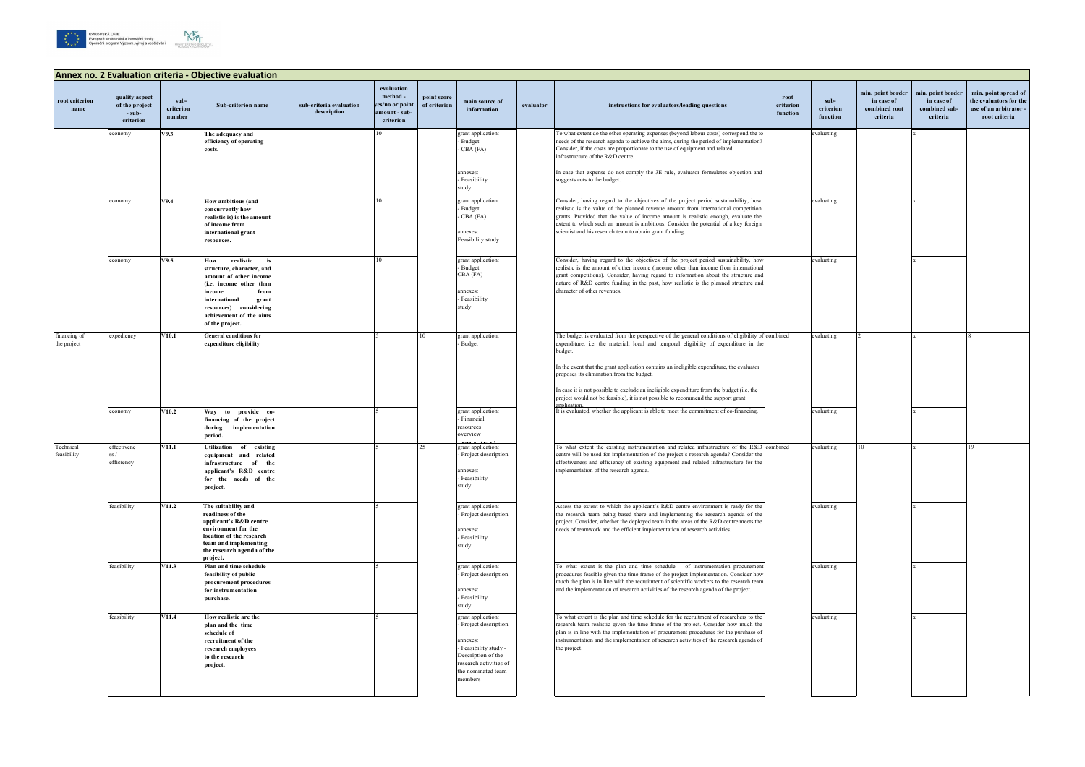





| Annex no. 2 Evaluation criteria - Objective evaluation |                                                         |                             |                                                                                                                                                                                                                              |                                        |                                                                         |                             |                                                                                                                                                                   |           |                                                                                                                                                                                                                                                                                                                                                                                                                                                                                                                                  |                               |                               |                                                              |                                                              |                                                                                           |
|--------------------------------------------------------|---------------------------------------------------------|-----------------------------|------------------------------------------------------------------------------------------------------------------------------------------------------------------------------------------------------------------------------|----------------------------------------|-------------------------------------------------------------------------|-----------------------------|-------------------------------------------------------------------------------------------------------------------------------------------------------------------|-----------|----------------------------------------------------------------------------------------------------------------------------------------------------------------------------------------------------------------------------------------------------------------------------------------------------------------------------------------------------------------------------------------------------------------------------------------------------------------------------------------------------------------------------------|-------------------------------|-------------------------------|--------------------------------------------------------------|--------------------------------------------------------------|-------------------------------------------------------------------------------------------|
| root criterion<br>name                                 | quality aspect<br>of the project<br>- sub-<br>criterion | sub-<br>criterion<br>number | Sub-criterion name                                                                                                                                                                                                           | sub-criteria evaluation<br>description | evaluation<br>method -<br>yes/no or point<br>amount - sub-<br>criterion | point score<br>of criterion | main source of<br>information                                                                                                                                     | evaluator | instructions for evaluators/leading questions                                                                                                                                                                                                                                                                                                                                                                                                                                                                                    | root<br>criterion<br>function | sub-<br>criterion<br>function | min. point border<br>in case of<br>combined root<br>criteria | min. point border<br>in case of<br>combined sub-<br>criteria | min. point spread of<br>the evaluators for the<br>use of an arbitrator -<br>root criteria |
|                                                        | economy                                                 | V9.3                        | The adequacy and<br>efficiency of operating<br>costs.                                                                                                                                                                        |                                        | 10                                                                      |                             | grant application:<br><b>Budget</b><br>- CBA (FA)<br>annexes:<br>- Feasibility                                                                                    |           | To what extent do the other operating expenses (beyond labour costs) correspond the to<br>needs of the research agenda to achieve the aims, during the period of implementation?<br>Consider, if the costs are proportionate to the use of equipment and related<br>infrastructure of the R&D centre.<br>In case that expense do not comply the 3E rule, evaluator formulates objection and<br>suggests cuts to the budget.                                                                                                      |                               | evaluating                    |                                                              |                                                              |                                                                                           |
|                                                        | economy                                                 | V9.4                        | How ambitious (and<br>concurrently how<br>realistic is) is the amount<br>of income from<br>international grant<br>resources.                                                                                                 |                                        | 10                                                                      |                             | study<br>grant application:<br>- Budget<br>- CBA (FA)<br>annexes:<br>Feasibility study                                                                            |           | Consider, having regard to the objectives of the project period sustainability, how<br>realistic is the value of the planned revenue amount from international competition<br>grants. Provided that the value of income amount is realistic enough, evaluate the<br>extent to which such an amount is ambitious. Consider the potential of a key foreign<br>scientist and his research team to obtain grant funding.                                                                                                             |                               | evaluating                    |                                                              |                                                              |                                                                                           |
|                                                        | economy                                                 | V9.5                        | realistic<br>How<br>is<br>structure, character, and<br>amount of other income<br>(i.e. income other than<br>from<br>income<br>international<br>grant<br>resources) considering<br>achievement of the aims<br>of the project. |                                        | 10                                                                      |                             | grant application:<br>- Budget<br>CBA (FA)<br>annexes:<br>- Feasibility<br>study                                                                                  |           | Consider, having regard to the objectives of the project period sustainability, how<br>realistic is the amount of other income (income other than income from international<br>grant competitions). Consider, having regard to information about the structure and<br>nature of R&D centre funding in the past, how realistic is the planned structure and<br>character of other revenues.                                                                                                                                       |                               | evaluating                    |                                                              |                                                              |                                                                                           |
| financing of<br>the project                            | expediency                                              | V10.1                       | <b>General conditions for</b><br>expenditure eligibility                                                                                                                                                                     |                                        |                                                                         | 10                          | grant application:<br>Budget                                                                                                                                      |           | The budget is evaluated from the perspective of the general conditions of eligibility of combined<br>expenditure, i.e. the material, local and temporal eligibility of expenditure in the<br>budget.<br>In the event that the grant application contains an ineligible expenditure, the evaluator<br>proposes its elimination from the budget.<br>In case it is not possible to exclude an ineligible expenditure from the budget (i.e. the<br>project would not be feasible), it is not possible to recommend the support grant |                               | evaluating                    |                                                              |                                                              |                                                                                           |
|                                                        | economy                                                 | V10.2                       | Way to provide co-<br>financing of the project<br>implementation<br>during<br>period.                                                                                                                                        |                                        |                                                                         |                             | grant application:<br>- Financial<br>resources<br>overview                                                                                                        |           | annlicatic<br>It is evaluated, whether the applicant is able to meet the commitment of co-financing.                                                                                                                                                                                                                                                                                                                                                                                                                             |                               | evaluating                    |                                                              |                                                              |                                                                                           |
| Technical<br>feasibility                               | effectivene<br>ss/<br>efficiency                        | <b>V11.1</b>                | Utilization of existing<br>equipment and<br>related<br>infrastructure of<br>th.<br>applicant's R&D centre<br>for the needs of the<br>project.                                                                                |                                        |                                                                         |                             | grant application:<br>- Project description<br>annexes:<br>- Feasibility<br>study                                                                                 |           | To what extent the existing instrumentation and related infrastructure of the R&D combined<br>centre will be used for implementation of the project's research agenda? Consider the<br>effectiveness and efficiency of existing equipment and related infrastructure for the<br>implementation of the research agenda.                                                                                                                                                                                                           |                               | evaluating                    | 10                                                           |                                                              | 19                                                                                        |
|                                                        | feasibility                                             | <b>V11.2</b>                | The suitability and<br>readiness of the<br>applicant's R&D centre<br>environment for the<br>location of the research<br>team and implementing<br>the research agenda of the                                                  |                                        |                                                                         |                             | grant application:<br>Project description<br>annexes:<br>- Feasibility<br>study                                                                                   |           | Assess the extent to which the applicant's R&D centre environment is ready for the<br>the research team being based there and implementing the research agenda of the<br>project. Consider, whether the deployed team in the areas of the R&D centre meets the<br>needs of teamwork and the efficient implementation of research activities.                                                                                                                                                                                     |                               | evaluating                    |                                                              |                                                              |                                                                                           |
|                                                        | feasibility                                             | <b>V11.3</b>                | project.<br>Plan and time schedule<br>feasibility of public<br>procurement procedures<br>for instrumentation<br>purchase.                                                                                                    |                                        |                                                                         |                             | grant application:<br>Project description<br>annexes:<br>- Feasibility<br>study                                                                                   |           | To what extent is the plan and time schedule of instrumentation procurement<br>procedures feasible given the time frame of the project implementation. Consider how<br>much the plan is in line with the recruitment of scientific workers to the research team<br>and the implementation of research activities of the research agenda of the project.                                                                                                                                                                          |                               | evaluating                    |                                                              |                                                              |                                                                                           |
|                                                        | feasibility                                             | <b>V11.4</b>                | How realistic are the<br>plan and the time<br>schedule of<br>recruitment of the<br>research employees<br>to the research<br>project.                                                                                         |                                        |                                                                         |                             | grant application:<br>- Project description<br>annexes:<br>- Feasibility study -<br>Description of the<br>research activities of<br>the nominated team<br>members |           | To what extent is the plan and time schedule for the recruitment of researchers to the<br>research team realistic given the time frame of the project. Consider how much the<br>plan is in line with the implementation of procurement procedures for the purchase of<br>instrumentation and the implementation of research activities of the research agenda of<br>the project.                                                                                                                                                 |                               | evaluating                    |                                                              |                                                              |                                                                                           |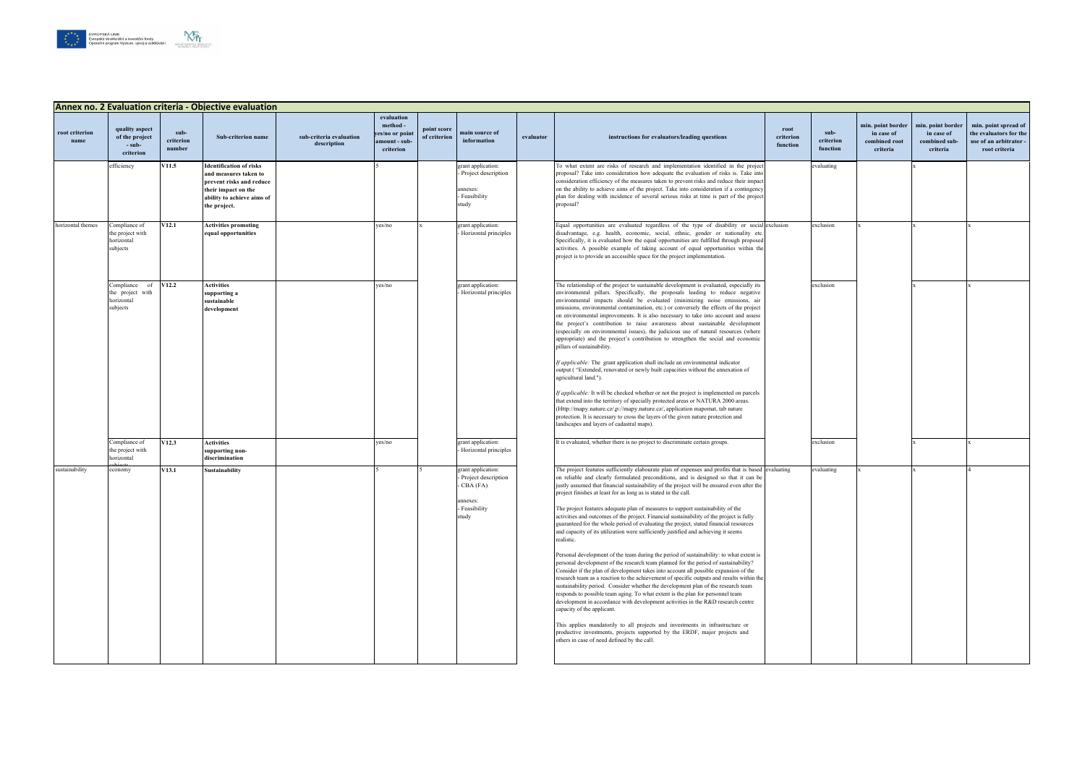

|                        | Annex no. 2 Evaluation criteria - Objective evaluation                    |                             |                                                                                                                                                          |                                        |                                                                        |                             |                                                                                               |           |                                                                                                                                                                                                                                                                                                                                                                                                                                                                                                                                                                                                                                                                                                                                                                                                                                                                                                                                                                                                                                                                                                                                                                                                                                                                                                                                                                                                                                                                                                                                                                                                                      |                               |                               |                                                              |                                                              |                                                                                           |
|------------------------|---------------------------------------------------------------------------|-----------------------------|----------------------------------------------------------------------------------------------------------------------------------------------------------|----------------------------------------|------------------------------------------------------------------------|-----------------------------|-----------------------------------------------------------------------------------------------|-----------|----------------------------------------------------------------------------------------------------------------------------------------------------------------------------------------------------------------------------------------------------------------------------------------------------------------------------------------------------------------------------------------------------------------------------------------------------------------------------------------------------------------------------------------------------------------------------------------------------------------------------------------------------------------------------------------------------------------------------------------------------------------------------------------------------------------------------------------------------------------------------------------------------------------------------------------------------------------------------------------------------------------------------------------------------------------------------------------------------------------------------------------------------------------------------------------------------------------------------------------------------------------------------------------------------------------------------------------------------------------------------------------------------------------------------------------------------------------------------------------------------------------------------------------------------------------------------------------------------------------------|-------------------------------|-------------------------------|--------------------------------------------------------------|--------------------------------------------------------------|-------------------------------------------------------------------------------------------|
| root criterion<br>name | quality aspect<br>of the project<br>- sub-<br>criterion                   | sub-<br>criterion<br>number | Sub-criterion name                                                                                                                                       | sub-criteria evaluation<br>description | evaluation<br>method-<br>yes/no or point<br>amount - sub-<br>criterion | point score<br>of criterion | main source of<br>information                                                                 | evaluator | instructions for evaluators/leading questions                                                                                                                                                                                                                                                                                                                                                                                                                                                                                                                                                                                                                                                                                                                                                                                                                                                                                                                                                                                                                                                                                                                                                                                                                                                                                                                                                                                                                                                                                                                                                                        | root<br>criterion<br>function | sub-<br>criterion<br>function | min. point border<br>in case of<br>combined root<br>criteria | min. point border<br>in case of<br>combined sub-<br>criteria | min. point spread of<br>the evaluators for the<br>use of an arbitrator -<br>root criteria |
|                        | efficiency                                                                | V11.5                       | <b>Identification of risks</b><br>and measures taken to<br>prevent risks and reduce<br>their impact on the<br>ability to achieve aims of<br>the project. |                                        |                                                                        |                             | grant application:<br>Project description<br>annexes:<br>Feasibility<br>study                 |           | To what extent are risks of research and implementation identified in the project<br>proposal? Take into consideration how adequate the evaluation of risks is. Take into<br>consideration efficiency of the measures taken to prevent risks and reduce their impact<br>on the ability to achieve aims of the project. Take into consideration if a contingency<br>plan for dealing with incidence of several serious risks at time is part of the project<br>proposal?                                                                                                                                                                                                                                                                                                                                                                                                                                                                                                                                                                                                                                                                                                                                                                                                                                                                                                                                                                                                                                                                                                                                              |                               | evaluating                    |                                                              |                                                              |                                                                                           |
| horizontal themes      | Compliance of<br>the project with<br>horizontal<br>subjects               | V12.1                       | <b>Activities promoting</b><br>equal opportunities                                                                                                       |                                        | yes/no                                                                 |                             | grant application:<br>Horizontal principles                                                   |           | Equal opportunities are evaluated regardless of the type of disability or social exclusion<br>disadvantage, e.g. health, economic, social, ethnic, gender or nationality etc<br>Specifically, it is evaluated how the equal opportunities are fulfilled through proposed<br>activities. A possible example of taking account of equal opportunities within the<br>project is to provide an accessible space for the project implementation.                                                                                                                                                                                                                                                                                                                                                                                                                                                                                                                                                                                                                                                                                                                                                                                                                                                                                                                                                                                                                                                                                                                                                                          |                               | exclusion                     |                                                              |                                                              |                                                                                           |
|                        | Compliance<br><sub>of</sub><br>the project with<br>horizontal<br>subjects | V12.2                       | <b>Activities</b><br>supporting a<br>sustainable<br>development                                                                                          |                                        | yes/no                                                                 |                             | grant application:<br>- Horizontal principles                                                 |           | The relationship of the project to sustainable development is evaluated, especially its<br>environmental pillars. Specifically, the proposals leading to reduce negative<br>environmental impacts should be evaluated (minimizing noise emissions, air<br>emissions, environmental contamination, etc.) or conversely the effects of the project<br>on environmental improvements. It is also necessary to take into account and assess<br>the project's contribution to raise awareness about sustainable development<br>(especially on environmental issues), the judicious use of natural resources (where<br>appropriate) and the project's contribution to strengthen the social and economic<br>pillars of sustainability.<br>If applicable: The grant application shall include an environmental indicator<br>output ("Extended, renovated or newly built capacities without the annexation of<br>agricultural land.").<br>If applicable: It will be checked whether or not the project is implemented on parcels<br>that extend into the territory of specially protected areas or NATURA 2000 areas.<br>(Http://mapy.nature.cz/,p://mapy.nature.cz/, application mapomat, tab nature<br>protection. It is necessary to cross the layers of the given nature protection and<br>landscapes and layers of cadastral maps).                                                                                                                                                                                                                                                                                     |                               | exclusion                     |                                                              |                                                              |                                                                                           |
|                        | Compliance of<br>the project with<br>horizontal                           | V12.3                       | <b>Activities</b><br>supporting non-<br>discrimination                                                                                                   |                                        | yes/no                                                                 |                             | grant application:<br>- Horizontal principles                                                 |           | It is evaluated, whether there is no project to discriminate certain groups.                                                                                                                                                                                                                                                                                                                                                                                                                                                                                                                                                                                                                                                                                                                                                                                                                                                                                                                                                                                                                                                                                                                                                                                                                                                                                                                                                                                                                                                                                                                                         |                               | exclusion                     |                                                              |                                                              |                                                                                           |
| sustainability         | economy                                                                   | V13.1                       | Sustainability                                                                                                                                           |                                        |                                                                        |                             | grant application:<br>- Project description<br>CBA (FA)<br>annexes:<br>- Feasibility<br>study |           | The project features sufficiently elabourate plan of expenses and profits that is based evaluating<br>on reliable and clearly formulated preconditions, and is designed so that it can be<br>justly assumed that financial sustainability of the project will be ensured even after the<br>project finishes at least for as long as is stated in the call.<br>The project features adequate plan of measures to support sustainability of the<br>activities and outcomes of the project. Financial sustainability of the project is fully<br>guaranteed for the whole period of evaluating the project, stated financial resources<br>and capacity of its utilization were sufficiently justified and achieving it seems<br>realistic.<br>Personal development of the team during the period of sustainability: to what extent is<br>personal development of the research team planned for the period of sustainability?<br>Consider if the plan of development takes into account all possible expansion of the<br>research team as a reaction to the achievement of specific outputs and results within the<br>sustainability period. Consider whether the development plan of the research team<br>responds to possible team aging. To what extent is the plan for personnel team<br>development in accordance with development activities in the R&D research centre<br>capacity of the applicant.<br>This applies mandatorily to all projects and investments in infrastructure or<br>productive investments, projects supported by the ERDF, major projects and<br>others in case of need defined by the call. |                               | evaluating                    |                                                              |                                                              |                                                                                           |